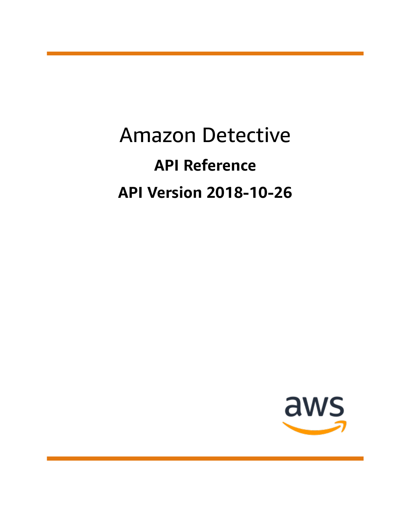# Amazon Detective **API Reference API Version 2018-10-26**

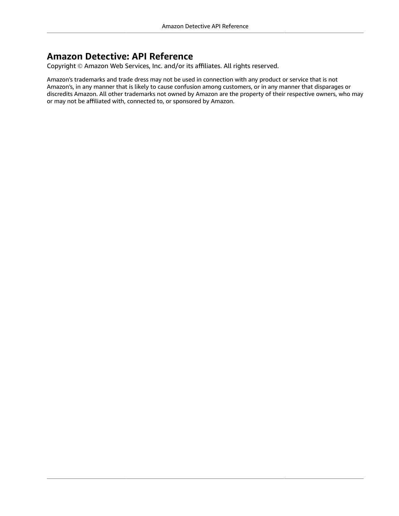### **Amazon Detective: API Reference**

Copyright © Amazon Web Services, Inc. and/or its affiliates. All rights reserved.

Amazon's trademarks and trade dress may not be used in connection with any product or service that is not Amazon's, in any manner that is likely to cause confusion among customers, or in any manner that disparages or discredits Amazon. All other trademarks not owned by Amazon are the property of their respective owners, who may or may not be affiliated with, connected to, or sponsored by Amazon.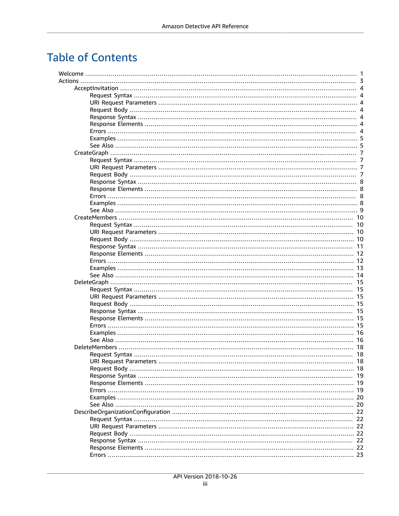## **Table of Contents**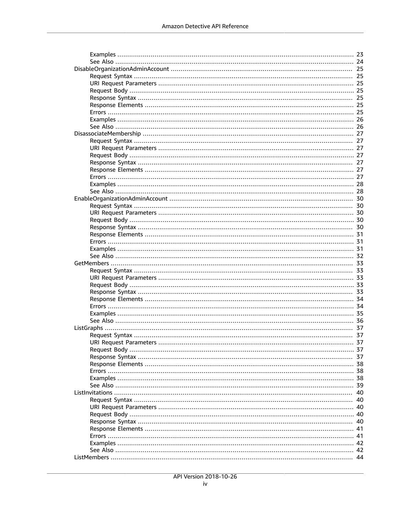| URI Request Parameters. | 37 |
|-------------------------|----|
|                         |    |
|                         |    |
|                         |    |
|                         |    |
|                         |    |
|                         |    |
|                         |    |
|                         |    |
|                         |    |
|                         |    |
|                         |    |
|                         |    |
|                         |    |
|                         |    |
|                         |    |
|                         |    |
|                         |    |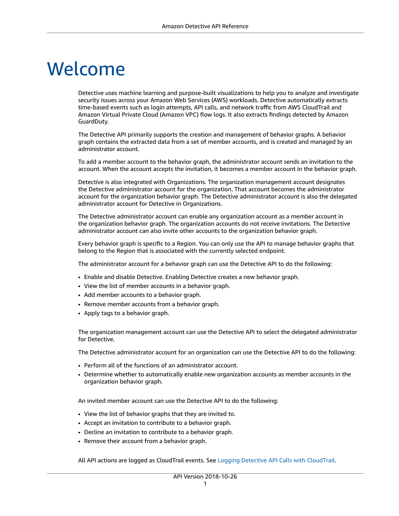# <span id="page-6-0"></span>Welcome

Detective uses machine learning and purpose-built visualizations to help you to analyze and investigate security issues across your Amazon Web Services (AWS) workloads. Detective automatically extracts time-based events such as login attempts, API calls, and network traffic from AWS CloudTrail and Amazon Virtual Private Cloud (Amazon VPC) flow logs. It also extracts findings detected by Amazon GuardDuty.

The Detective API primarily supports the creation and management of behavior graphs. A behavior graph contains the extracted data from a set of member accounts, and is created and managed by an administrator account.

To add a member account to the behavior graph, the administrator account sends an invitation to the account. When the account accepts the invitation, it becomes a member account in the behavior graph.

Detective is also integrated with Organizations. The organization management account designates the Detective administrator account for the organization. That account becomes the administrator account for the organization behavior graph. The Detective administrator account is also the delegated administrator account for Detective in Organizations.

The Detective administrator account can enable any organization account as a member account in the organization behavior graph. The organization accounts do not receive invitations. The Detective administrator account can also invite other accounts to the organization behavior graph.

Every behavior graph is specific to a Region. You can only use the API to manage behavior graphs that belong to the Region that is associated with the currently selected endpoint.

The administrator account for a behavior graph can use the Detective API to do the following:

- Enable and disable Detective. Enabling Detective creates a new behavior graph.
- View the list of member accounts in a behavior graph.
- Add member accounts to a behavior graph.
- Remove member accounts from a behavior graph.
- Apply tags to a behavior graph.

The organization management account can use the Detective API to select the delegated administrator for Detective.

The Detective administrator account for an organization can use the Detective API to do the following:

- Perform all of the functions of an administrator account.
- Determine whether to automatically enable new organization accounts as member accounts in the organization behavior graph.

An invited member account can use the Detective API to do the following:

- View the list of behavior graphs that they are invited to.
- Accept an invitation to contribute to a behavior graph.
- Decline an invitation to contribute to a behavior graph.
- Remove their account from a behavior graph.

All API actions are logged as CloudTrail events. See Logging Detective API Calls with [CloudTrail.](https://docs.aws.amazon.com/detective/latest/adminguide/logging-using-cloudtrail.html)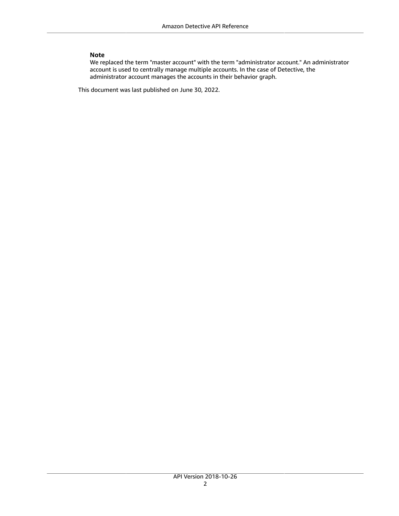#### **Note**

We replaced the term "master account" with the term "administrator account." An administrator account is used to centrally manage multiple accounts. In the case of Detective, the administrator account manages the accounts in their behavior graph.

This document was last published on June 30, 2022.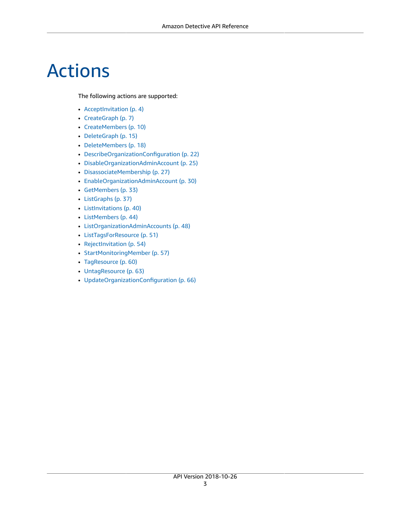# <span id="page-8-0"></span>Actions

The following actions are supported:

- [AcceptInvitation \(p. 4\)](#page-9-0)
- [CreateGraph \(p. 7\)](#page-12-0)
- [CreateMembers \(p. 10\)](#page-15-0)
- [DeleteGraph \(p. 15\)](#page-20-0)
- [DeleteMembers \(p. 18\)](#page-23-0)
- [DescribeOrganizationConfiguration \(p. 22\)](#page-27-0)
- [DisableOrganizationAdminAccount \(p. 25\)](#page-30-0)
- [DisassociateMembership \(p. 27\)](#page-32-0)
- [EnableOrganizationAdminAccount \(p. 30\)](#page-35-0)
- [GetMembers \(p. 33\)](#page-38-0)
- [ListGraphs \(p. 37\)](#page-42-0)
- [ListInvitations \(p. 40\)](#page-45-0)
- [ListMembers \(p. 44\)](#page-49-0)
- [ListOrganizationAdminAccounts \(p. 48\)](#page-53-0)
- [ListTagsForResource \(p. 51\)](#page-56-0)
- [RejectInvitation \(p. 54\)](#page-59-0)
- [StartMonitoringMember \(p. 57\)](#page-62-0)
- [TagResource \(p. 60\)](#page-65-0)
- [UntagResource \(p. 63\)](#page-68-0)
- [UpdateOrganizationConfiguration \(p. 66\)](#page-71-0)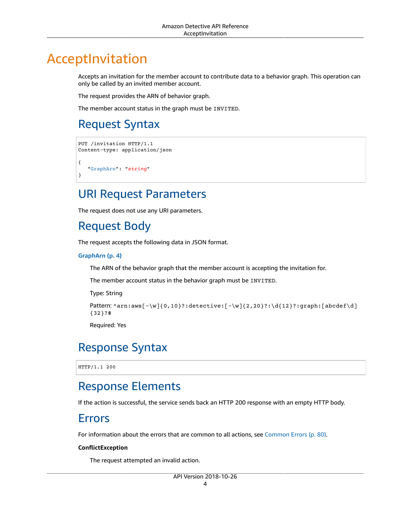## <span id="page-9-0"></span>AcceptInvitation

Accepts an invitation for the member account to contribute data to a behavior graph. This operation can only be called by an invited member account.

The request provides the ARN of behavior graph.

The member account status in the graph must be INVITED.

## <span id="page-9-1"></span>Request Syntax

```
PUT /invitation HTTP/1.1
Content-type: application/json
{
    "GraphArn": "string"
}
```
### <span id="page-9-2"></span>URI Request Parameters

The request does not use any URI parameters.

## <span id="page-9-3"></span>Request Body

The request accepts the following data in JSON format.

#### <span id="page-9-7"></span>**[GraphArn \(p. 4\)](#page-9-1)**

The ARN of the behavior graph that the member account is accepting the invitation for.

The member account status in the behavior graph must be INVITED.

Type: String

```
Pattern: \arcsin\left[-\wright]_{0,10}?:detective:[-\w]{2,20}?:\d{12}?:graph:[abcdef\d]
{32}?$
```
Required: Yes

### <span id="page-9-4"></span>Response Syntax

HTTP/1.1 200

### <span id="page-9-5"></span>Response Elements

<span id="page-9-6"></span>If the action is successful, the service sends back an HTTP 200 response with an empty HTTP body.

### Errors

For information about the errors that are common to all actions, see [Common](#page-85-0) Error[s \(p. 80\).](#page-85-0)

#### **ConflictException**

The request attempted an invalid action.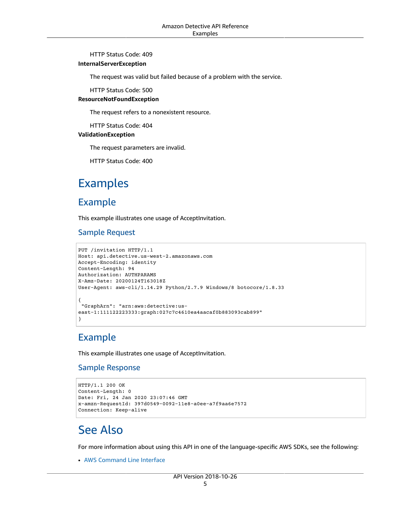#### HTTP Status Code: 409

#### **InternalServerException**

The request was valid but failed because of a problem with the service.

HTTP Status Code: 500

#### **ResourceNotFoundException**

The request refers to a nonexistent resource.

HTTP Status Code: 404

#### **ValidationException**

The request parameters are invalid.

HTTP Status Code: 400

## <span id="page-10-0"></span>Examples

### Example

This example illustrates one usage of AcceptInvitation.

### Sample Request

```
PUT /invitation HTTP/1.1
Host: api.detective.us-west-2.amazonaws.com
Accept-Encoding: identity
Content-Length: 94
Authorization: AUTHPARAMS
X-Amz-Date: 20200124T163018Z
User-Agent: aws-cli/1.14.29 Python/2.7.9 Windows/8 botocore/1.8.33
{
  "GraphArn": "arn:aws:detective:us-
east-1:111122223333:graph:027c7c4610ea4aacaf0b883093cab899"
}
```
### Example

This example illustrates one usage of AcceptInvitation.

### Sample Response

```
HTTP/1.1 200 OK
Content-Length: 0
Date: Fri, 24 Jan 2020 23:07:46 GMT
x-amzn-RequestId: 397d0549-0092-11e8-a0ee-a7f9aa6e7572
Connection: Keep-alive
```
## <span id="page-10-1"></span>See Also

For more information about using this API in one of the language-specific AWS SDKs, see the following:

• AWS [Command](https://docs.aws.amazon.com/goto/aws-cli/detective-2018-10-26/AcceptInvitation) Line Interface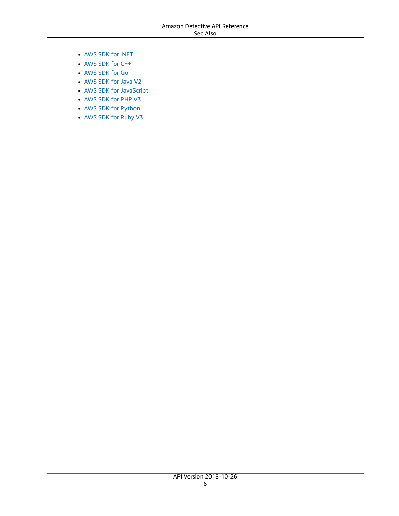- [AWS](https://docs.aws.amazon.com/goto/DotNetSDKV3/detective-2018-10-26/AcceptInvitation) SDK for .NET
- [AWS](https://docs.aws.amazon.com/goto/SdkForCpp/detective-2018-10-26/AcceptInvitation) SDK for C++
- [AWS](https://docs.aws.amazon.com/goto/SdkForGoV1/detective-2018-10-26/AcceptInvitation) SDK for Go
- [AWS](https://docs.aws.amazon.com/goto/SdkForJavaV2/detective-2018-10-26/AcceptInvitation) SDK for Java V2
- AWS SDK for [JavaScript](https://docs.aws.amazon.com/goto/AWSJavaScriptSDK/detective-2018-10-26/AcceptInvitation)
- [AWS](https://docs.aws.amazon.com/goto/SdkForPHPV3/detective-2018-10-26/AcceptInvitation) SDK for PHP V3
- AWS SDK for [Python](https://docs.aws.amazon.com/goto/boto3/detective-2018-10-26/AcceptInvitation)
- AWS SDK for [Ruby](https://docs.aws.amazon.com/goto/SdkForRubyV3/detective-2018-10-26/AcceptInvitation) V3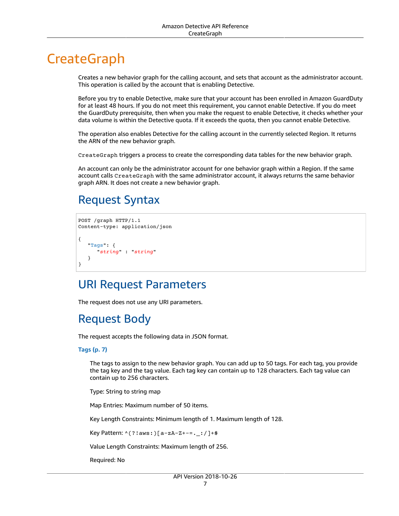## <span id="page-12-0"></span>**CreateGraph**

Creates a new behavior graph for the calling account, and sets that account as the administrator account. This operation is called by the account that is enabling Detective.

Before you try to enable Detective, make sure that your account has been enrolled in Amazon GuardDuty for at least 48 hours. If you do not meet this requirement, you cannot enable Detective. If you do meet the GuardDuty prerequisite, then when you make the request to enable Detective, it checks whether your data volume is within the Detective quota. If it exceeds the quota, then you cannot enable Detective.

The operation also enables Detective for the calling account in the currently selected Region. It returns the ARN of the new behavior graph.

CreateGraph triggers a process to create the corresponding data tables for the new behavior graph.

An account can only be the administrator account for one behavior graph within a Region. If the same account calls CreateGraph with the same administrator account, it always returns the same behavior graph ARN. It does not create a new behavior graph.

## <span id="page-12-1"></span>Request Syntax

```
POST /graph HTTP/1.1
Content-type: application/json
{
    "Tags": { 
       "string" : "string" 
    }
}
```
### <span id="page-12-2"></span>URI Request Parameters

<span id="page-12-3"></span>The request does not use any URI parameters.

## Request Body

The request accepts the following data in JSON format.

#### <span id="page-12-4"></span>**[Tags \(p. 7\)](#page-12-1)**

The tags to assign to the new behavior graph. You can add up to 50 tags. For each tag, you provide the tag key and the tag value. Each tag key can contain up to 128 characters. Each tag value can contain up to 256 characters.

Type: String to string map

Map Entries: Maximum number of 50 items.

Key Length Constraints: Minimum length of 1. Maximum length of 128.

Key Pattern: ^(?!aws:)[a-zA-Z+-=.\_:/]+\$

Value Length Constraints: Maximum length of 256.

Required: No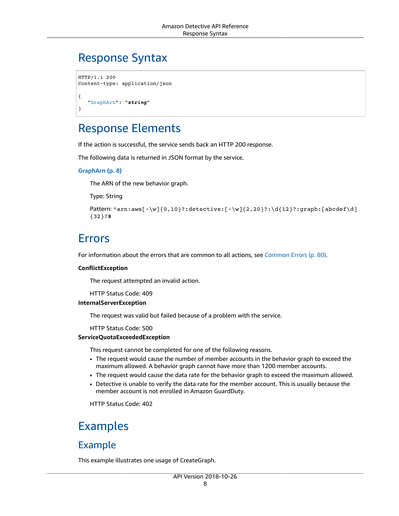## <span id="page-13-0"></span>Response Syntax

```
HTTP/1.1 200
Content-type: application/json
{
    "GraphArn": "string"
}
```
### <span id="page-13-1"></span>Response Elements

If the action is successful, the service sends back an HTTP 200 response.

The following data is returned in JSON format by the service.

#### <span id="page-13-4"></span>**[GraphArn \(p. 8\)](#page-13-0)**

The ARN of the new behavior graph.

Type: String

```
Pattern: \arcsin\left[-\wright]_{0,10}?:detective:[-\w]{2,20}?:\d{12}?:graph:[abcdef\d]
{32}?$
```
### <span id="page-13-2"></span>Errors

For information about the errors that are common to all actions, see [Common](#page-85-0) Error[s \(p. 80\).](#page-85-0)

#### **ConflictException**

The request attempted an invalid action.

HTTP Status Code: 409

#### **InternalServerException**

The request was valid but failed because of a problem with the service.

HTTP Status Code: 500

#### **ServiceQuotaExceededException**

This request cannot be completed for one of the following reasons.

- The request would cause the number of member accounts in the behavior graph to exceed the maximum allowed. A behavior graph cannot have more than 1200 member accounts.
- The request would cause the data rate for the behavior graph to exceed the maximum allowed.
- Detective is unable to verify the data rate for the member account. This is usually because the member account is not enrolled in Amazon GuardDuty.

HTTP Status Code: 402

### <span id="page-13-3"></span>Examples

### Example

This example illustrates one usage of CreateGraph.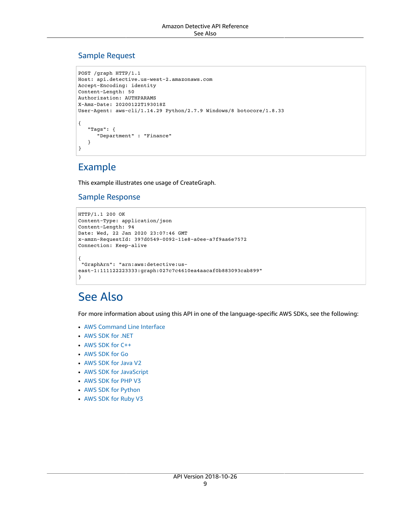### Sample Request

```
POST /graph HTTP/1.1
Host: api.detective.us-west-2.amazonaws.com
Accept-Encoding: identity
Content-Length: 50
Authorization: AUTHPARAMS
X-Amz-Date: 20200122T193018Z
User-Agent: aws-cli/1.14.29 Python/2.7.9 Windows/8 botocore/1.8.33
{
    "Tags": { 
       "Department" : "Finance" 
    }
}
```
### Example

This example illustrates one usage of CreateGraph.

### Sample Response

```
HTTP/1.1 200 OK
Content-Type: application/json
Content-Length: 94
Date: Wed, 22 Jan 2020 23:07:46 GMT
x-amzn-RequestId: 397d0549-0092-11e8-a0ee-a7f9aa6e7572
Connection: Keep-alive
{
 "GraphArn": "arn:aws:detective:us-
east-1:111122223333:graph:027c7c4610ea4aacaf0b883093cab899"
}
```
## <span id="page-14-0"></span>See Also

- AWS [Command](https://docs.aws.amazon.com/goto/aws-cli/detective-2018-10-26/CreateGraph) Line Interface
- [AWS](https://docs.aws.amazon.com/goto/DotNetSDKV3/detective-2018-10-26/CreateGraph) SDK for .NET
- [AWS](https://docs.aws.amazon.com/goto/SdkForCpp/detective-2018-10-26/CreateGraph) SDK for C++
- [AWS](https://docs.aws.amazon.com/goto/SdkForGoV1/detective-2018-10-26/CreateGraph) SDK for Go
- [AWS](https://docs.aws.amazon.com/goto/SdkForJavaV2/detective-2018-10-26/CreateGraph) SDK for Java V2
- AWS SDK for [JavaScript](https://docs.aws.amazon.com/goto/AWSJavaScriptSDK/detective-2018-10-26/CreateGraph)
- [AWS](https://docs.aws.amazon.com/goto/SdkForPHPV3/detective-2018-10-26/CreateGraph) SDK for PHP V3
- AWS SDK for [Python](https://docs.aws.amazon.com/goto/boto3/detective-2018-10-26/CreateGraph)
- AWS SDK for [Ruby](https://docs.aws.amazon.com/goto/SdkForRubyV3/detective-2018-10-26/CreateGraph) V3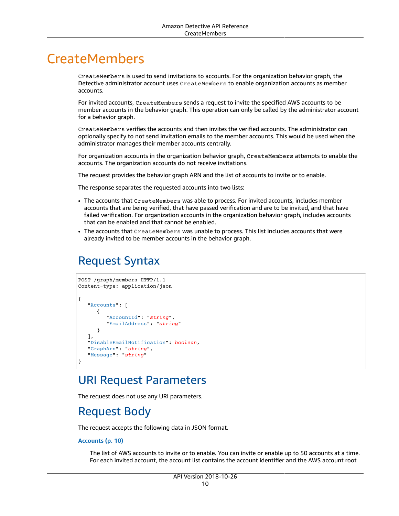## <span id="page-15-0"></span>**CreateMembers**

CreateMembers is used to send invitations to accounts. For the organization behavior graph, the Detective administrator account uses CreateMembers to enable organization accounts as member accounts.

For invited accounts, CreateMembers sends a request to invite the specified AWS accounts to be member accounts in the behavior graph. This operation can only be called by the administrator account for a behavior graph.

CreateMembers verifies the accounts and then invites the verified accounts. The administrator can optionally specify to not send invitation emails to the member accounts. This would be used when the administrator manages their member accounts centrally.

For organization accounts in the organization behavior graph, CreateMembers attempts to enable the accounts. The organization accounts do not receive invitations.

The request provides the behavior graph ARN and the list of accounts to invite or to enable.

The response separates the requested accounts into two lists:

- The accounts that CreateMembers was able to process. For invited accounts, includes member accounts that are being verified, that have passed verification and are to be invited, and that have failed verification. For organization accounts in the organization behavior graph, includes accounts that can be enabled and that cannot be enabled.
- The accounts that CreateMembers was unable to process. This list includes accounts that were already invited to be member accounts in the behavior graph.

## <span id="page-15-1"></span>Request Syntax

```
POST /graph/members HTTP/1.1
Content-type: application/json
{
    "Accounts": [ 
       { 
          "AccountId": "string",
          "EmailAddress": "string"
       }
    ],
    "DisableEmailNotification": boolean,
    "GraphArn": "string",
    "Message": "string"
}
```
### <span id="page-15-2"></span>URI Request Parameters

The request does not use any URI parameters.

## <span id="page-15-3"></span>Request Body

The request accepts the following data in JSON format.

#### <span id="page-15-4"></span>**[Accounts \(p. 10\)](#page-15-1)**

The list of AWS accounts to invite or to enable. You can invite or enable up to 50 accounts at a time. For each invited account, the account list contains the account identifier and the AWS account root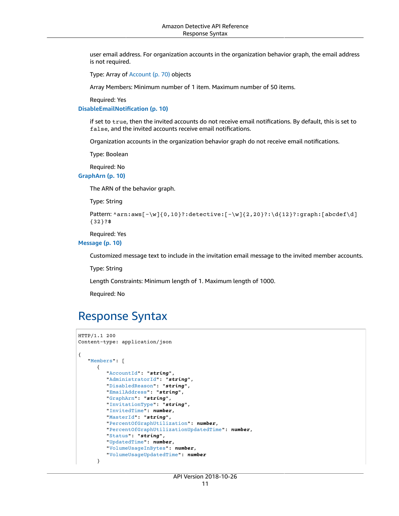user email address. For organization accounts in the organization behavior graph, the email address is not required.

Type: Array of [Account \(p. 70\)](#page-75-0) objects

Array Members: Minimum number of 1 item. Maximum number of 50 items.

Required: Yes

<span id="page-16-1"></span>**[DisableEmailNotification \(p. 10\)](#page-15-1)**

if set to true, then the invited accounts do not receive email notifications. By default, this is set to false, and the invited accounts receive email notifications.

Organization accounts in the organization behavior graph do not receive email notifications.

Type: Boolean

Required: No

<span id="page-16-2"></span>**[GraphArn \(p. 10\)](#page-15-1)**

The ARN of the behavior graph.

Type: String

```
Pattern: ^arn:aws[-\w]{0,10}?:detective:[-\w]{2,20}?:\d{12}?:graph:[abcdef\d]
{32}?$
```
Required: Yes

<span id="page-16-3"></span>**[Message \(p. 10\)](#page-15-1)**

Customized message text to include in the invitation email message to the invited member accounts.

Type: String

Length Constraints: Minimum length of 1. Maximum length of 1000.

Required: No

### <span id="page-16-0"></span>Response Syntax

```
HTTP/1.1 200
Content-type: application/json
{
    "Members": [ 
       { 
          "AccountId": "string",
          "AdministratorId": "string",
          "DisabledReason": "string",
          "EmailAddress": "string",
          "GraphArn": "string",
          "InvitationType": "string",
          "InvitedTime": number,
          "MasterId": "string",
          "PercentOfGraphUtilization": number,
          "PercentOfGraphUtilizationUpdatedTime": number,
          "Status": "string",
          "UpdatedTime": number,
          "VolumeUsageInBytes": number,
          "VolumeUsageUpdatedTime": number
       }
```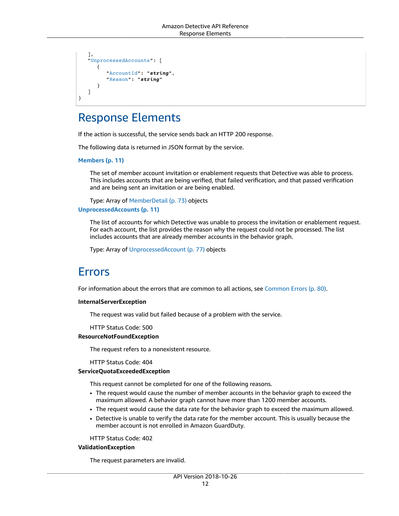```
 ],
    "UnprocessedAccounts": [ 
       { 
           "AccountId": "string",
           "Reason": "string"
 }
    ]
}
```
## <span id="page-17-0"></span>Response Elements

If the action is successful, the service sends back an HTTP 200 response.

The following data is returned in JSON format by the service.

<span id="page-17-2"></span>**[Members \(p. 11\)](#page-16-0)**

The set of member account invitation or enablement requests that Detective was able to process. This includes accounts that are being verified, that failed verification, and that passed verification and are being sent an invitation or are being enabled.

<span id="page-17-3"></span>Type: Array of [MemberDetail \(p. 73\)](#page-78-0) objects **[UnprocessedAccounts \(p. 11\)](#page-16-0)**

The list of accounts for which Detective was unable to process the invitation or enablement request. For each account, the list provides the reason why the request could not be processed. The list includes accounts that are already member accounts in the behavior graph.

Type: Array of [UnprocessedAccount \(p. 77\)](#page-82-0) objects

### <span id="page-17-1"></span>Errors

For information about the errors that are common to all actions, see [Common](#page-85-0) Error[s \(p. 80\).](#page-85-0)

#### **InternalServerException**

The request was valid but failed because of a problem with the service.

HTTP Status Code: 500

#### **ResourceNotFoundException**

The request refers to a nonexistent resource.

HTTP Status Code: 404

#### **ServiceQuotaExceededException**

This request cannot be completed for one of the following reasons.

- The request would cause the number of member accounts in the behavior graph to exceed the maximum allowed. A behavior graph cannot have more than 1200 member accounts.
- The request would cause the data rate for the behavior graph to exceed the maximum allowed.
- Detective is unable to verify the data rate for the member account. This is usually because the member account is not enrolled in Amazon GuardDuty.

HTTP Status Code: 402

#### **ValidationException**

The request parameters are invalid.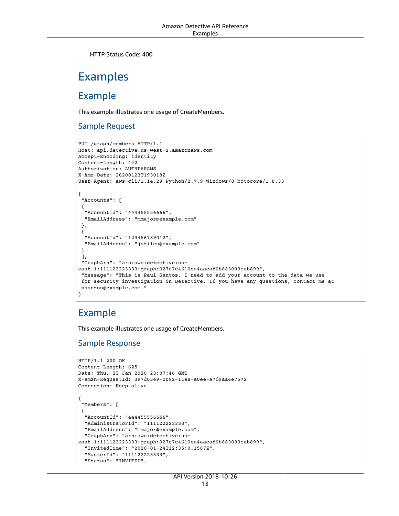HTTP Status Code: 400

## <span id="page-18-0"></span>Examples

### Example

This example illustrates one usage of CreateMembers.

### Sample Request

```
PUT /graph/members HTTP/1.1
Host: api.detective.us-west-2.amazonaws.com
Accept-Encoding: identity
Content-Length: 442
Authorization: AUTHPARAMS
X-Amz-Date: 20200123T193018Z
User-Agent: aws-cli/1.14.29 Python/2.7.9 Windows/8 botocore/1.8.33
{
  "Accounts": [ 
  { 
   "AccountId": "444455556666",
   "EmailAddress": "mmajor@example.com"
  },
 { 
   "AccountId": "123456789012",
   "EmailAddress": "jstiles@example.com"
  }
  ],
  "GraphArn": "arn:aws:detective:us-
east-1:111122223333:graph:027c7c4610ea4aacaf0b883093cab899",
  "Message": "This is Paul Santos. I need to add your account to the data we use
  for security investigation in Detective. If you have any questions, contact me at
 psantos@example.com."
}
```
### Example

This example illustrates one usage of CreateMembers.

### Sample Response

```
HTTP/1.1 200 OK
Content-Length: 625
Date: Thu, 23 Jan 2020 23:07:46 GMT
x-amzn-RequestId: 397d0549-0092-11e8-a0ee-a7f9aa6e7572
Connection: Keep-alive
{
  "Members": [ 
  { 
   "AccountId": "444455556666",
   "AdministratorId": "111122223333",
   "EmailAddress": "mmajor@example.com",
   "GraphArn": "arn:aws:detective:us-
east-1:111122223333:graph:027c7c4610ea4aacaf0b883093cab899",
   "InvitedTime": "2020-01-24T12:35:0.1587Z",
   "MasterId": "111122223333",
   "Status": "INVITED",
```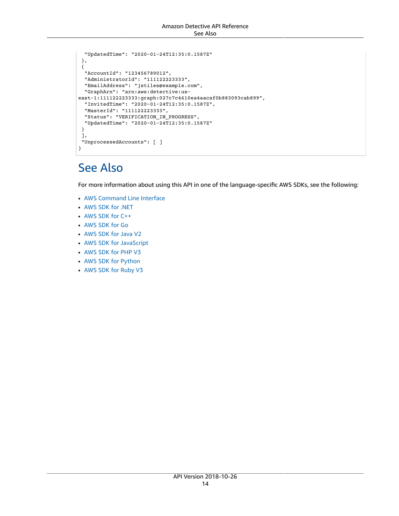```
 "UpdatedTime": "2020-01-24T12:35:0.1587Z"
 },
 { 
  "AccountId": "123456789012",
  "AdministratorId": "111122223333",
  "EmailAddress": "jstiles@example.com",
  "GraphArn": "arn:aws:detective:us-
east-1:111122223333:graph:027c7c4610ea4aacaf0b883093cab899",
  "InvitedTime": "2020-01-24T12:35:0.1587Z",
  "MasterId": "111122223333",
  "Status": "VERIFICATION_IN_PROGRESS",
  "UpdatedTime": "2020-01-24T12:35:0.1587Z"
 }
 ],
 "UnprocessedAccounts": [ ]
}
```
## <span id="page-19-0"></span>See Also

- AWS [Command](https://docs.aws.amazon.com/goto/aws-cli/detective-2018-10-26/CreateMembers) Line Interface
- [AWS](https://docs.aws.amazon.com/goto/DotNetSDKV3/detective-2018-10-26/CreateMembers) SDK for .NET
- [AWS](https://docs.aws.amazon.com/goto/SdkForCpp/detective-2018-10-26/CreateMembers) SDK for C++
- [AWS](https://docs.aws.amazon.com/goto/SdkForGoV1/detective-2018-10-26/CreateMembers) SDK for Go
- [AWS](https://docs.aws.amazon.com/goto/SdkForJavaV2/detective-2018-10-26/CreateMembers) SDK for Java V2
- AWS SDK for [JavaScript](https://docs.aws.amazon.com/goto/AWSJavaScriptSDK/detective-2018-10-26/CreateMembers)
- [AWS](https://docs.aws.amazon.com/goto/SdkForPHPV3/detective-2018-10-26/CreateMembers) SDK for PHP V3
- AWS SDK for [Python](https://docs.aws.amazon.com/goto/boto3/detective-2018-10-26/CreateMembers)
- AWS SDK for [Ruby](https://docs.aws.amazon.com/goto/SdkForRubyV3/detective-2018-10-26/CreateMembers) V3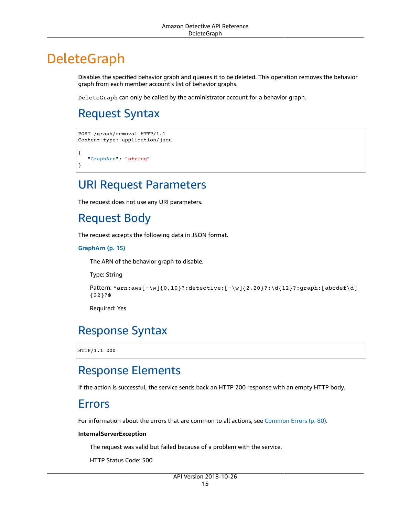## <span id="page-20-0"></span>DeleteGraph

Disables the specified behavior graph and queues it to be deleted. This operation removes the behavior graph from each member account's list of behavior graphs.

DeleteGraph can only be called by the administrator account for a behavior graph.

## <span id="page-20-1"></span>Request Syntax

```
POST /graph/removal HTTP/1.1
Content-type: application/json
{
    "GraphArn": "string"
}
```
### <span id="page-20-2"></span>URI Request Parameters

<span id="page-20-3"></span>The request does not use any URI parameters.

## Request Body

The request accepts the following data in JSON format.

<span id="page-20-7"></span>**[GraphArn \(p. 15\)](#page-20-1)**

The ARN of the behavior graph to disable.

Type: String

```
Pattern: \arctan: \arcsin(-\w}{0,10}?: detective:[-\w]{2,20}?: \d{12}?: graph:[abcdef\d]
{32}?$
```
Required: Yes

## <span id="page-20-4"></span>Response Syntax

HTTP/1.1 200

### <span id="page-20-5"></span>Response Elements

<span id="page-20-6"></span>If the action is successful, the service sends back an HTTP 200 response with an empty HTTP body.

### Errors

For information about the errors that are common to all actions, see [Common](#page-85-0) Error[s \(p. 80\).](#page-85-0)

#### **InternalServerException**

The request was valid but failed because of a problem with the service.

HTTP Status Code: 500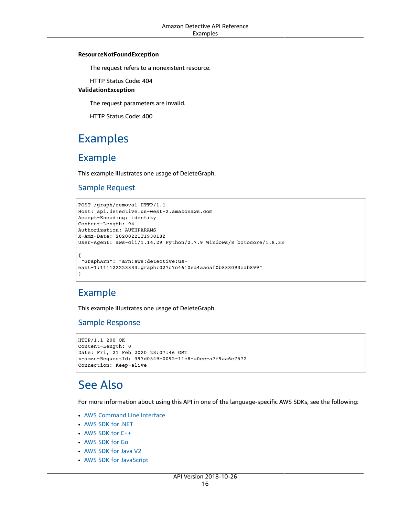#### **ResourceNotFoundException**

The request refers to a nonexistent resource.

HTTP Status Code: 404

#### **ValidationException**

The request parameters are invalid.

HTTP Status Code: 400

## <span id="page-21-0"></span>Examples

### Example

This example illustrates one usage of DeleteGraph.

### Sample Request

```
POST /graph/removal HTTP/1.1
Host: api.detective.us-west-2.amazonaws.com
Accept-Encoding: identity
Content-Length: 94
Authorization: AUTHPARAMS
X-Amz-Date: 20200221T193018Z
User-Agent: aws-cli/1.14.29 Python/2.7.9 Windows/8 botocore/1.8.33
{
  "GraphArn": "arn:aws:detective:us-
east-1:111122223333:graph:027c7c4610ea4aacaf0b883093cab899"
}
```
### Example

This example illustrates one usage of DeleteGraph.

### Sample Response

```
HTTP/1.1 200 OK
Content-Length: 0
Date: Fri, 21 Feb 2020 23:07:46 GMT
x-amzn-RequestId: 397d0549-0092-11e8-a0ee-a7f9aa6e7572
Connection: Keep-alive
```
## <span id="page-21-1"></span>See Also

- AWS [Command](https://docs.aws.amazon.com/goto/aws-cli/detective-2018-10-26/DeleteGraph) Line Interface
- [AWS](https://docs.aws.amazon.com/goto/DotNetSDKV3/detective-2018-10-26/DeleteGraph) SDK for .NET
- [AWS](https://docs.aws.amazon.com/goto/SdkForCpp/detective-2018-10-26/DeleteGraph) SDK for C++
- [AWS](https://docs.aws.amazon.com/goto/SdkForGoV1/detective-2018-10-26/DeleteGraph) SDK for Go
- [AWS](https://docs.aws.amazon.com/goto/SdkForJavaV2/detective-2018-10-26/DeleteGraph) SDK for Java V2
- AWS SDK for [JavaScript](https://docs.aws.amazon.com/goto/AWSJavaScriptSDK/detective-2018-10-26/DeleteGraph)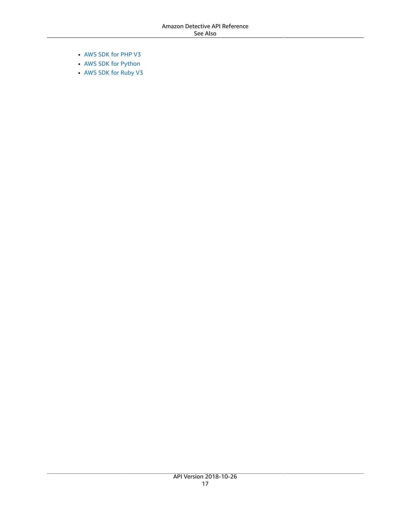- [AWS](https://docs.aws.amazon.com/goto/SdkForPHPV3/detective-2018-10-26/DeleteGraph) SDK for PHP V3
- AWS SDK for [Python](https://docs.aws.amazon.com/goto/boto3/detective-2018-10-26/DeleteGraph)
- AWS SDK for [Ruby](https://docs.aws.amazon.com/goto/SdkForRubyV3/detective-2018-10-26/DeleteGraph) V3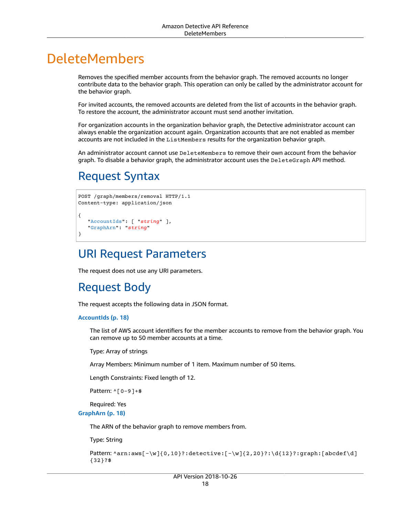## <span id="page-23-0"></span>DeleteMembers

Removes the specified member accounts from the behavior graph. The removed accounts no longer contribute data to the behavior graph. This operation can only be called by the administrator account for the behavior graph.

For invited accounts, the removed accounts are deleted from the list of accounts in the behavior graph. To restore the account, the administrator account must send another invitation.

For organization accounts in the organization behavior graph, the Detective administrator account can always enable the organization account again. Organization accounts that are not enabled as member accounts are not included in the ListMembers results for the organization behavior graph.

An administrator account cannot use DeleteMembers to remove their own account from the behavior graph. To disable a behavior graph, the administrator account uses the DeleteGraph API method.

## <span id="page-23-1"></span>Request Syntax

```
POST /graph/members/removal HTTP/1.1
Content-type: application/json
{
    "AccountIds": [ "string" ],
    "GraphArn": "string"
}
```
## <span id="page-23-2"></span>URI Request Parameters

<span id="page-23-3"></span>The request does not use any URI parameters.

## Request Body

The request accepts the following data in JSON format.

#### <span id="page-23-4"></span>**[AccountIds \(p. 18\)](#page-23-1)**

The list of AWS account identifiers for the member accounts to remove from the behavior graph. You can remove up to 50 member accounts at a time.

Type: Array of strings

Array Members: Minimum number of 1 item. Maximum number of 50 items.

Length Constraints: Fixed length of 12.

Pattern: ^[0-9]+\$

Required: Yes

<span id="page-23-5"></span>**[GraphArn \(p. 18\)](#page-23-1)**

The ARN of the behavior graph to remove members from.

Type: String

```
Pattern: \arctan: \arcsin(-\w}{0,10}?: detective:[-\w]{2,20}?: \d{12}?: graph:[abcdef\d]
{32}?$
```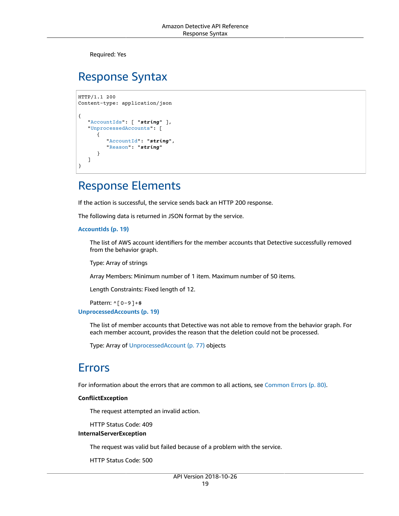Required: Yes

## <span id="page-24-0"></span>Response Syntax

```
HTTP/1.1 200
Content-type: application/json
{
    "AccountIds": [ "string" ],
    "UnprocessedAccounts": [ 
       { 
           "AccountId": "string",
           "Reason": "string"
       }
    ]
}
```
## <span id="page-24-1"></span>Response Elements

If the action is successful, the service sends back an HTTP 200 response.

The following data is returned in JSON format by the service.

#### <span id="page-24-3"></span>**[AccountIds \(p. 19\)](#page-24-0)**

The list of AWS account identifiers for the member accounts that Detective successfully removed from the behavior graph.

Type: Array of strings

Array Members: Minimum number of 1 item. Maximum number of 50 items.

Length Constraints: Fixed length of 12.

Pattern: ^[0-9]+\$

<span id="page-24-4"></span>**[UnprocessedAccounts \(p. 19\)](#page-24-0)**

The list of member accounts that Detective was not able to remove from the behavior graph. For each member account, provides the reason that the deletion could not be processed.

Type: Array of [UnprocessedAccount \(p. 77\)](#page-82-0) objects

### <span id="page-24-2"></span>Errors

For information about the errors that are common to all actions, see [Common](#page-85-0) Error[s \(p. 80\).](#page-85-0)

#### **ConflictException**

The request attempted an invalid action.

HTTP Status Code: 409

#### **InternalServerException**

The request was valid but failed because of a problem with the service.

HTTP Status Code: 500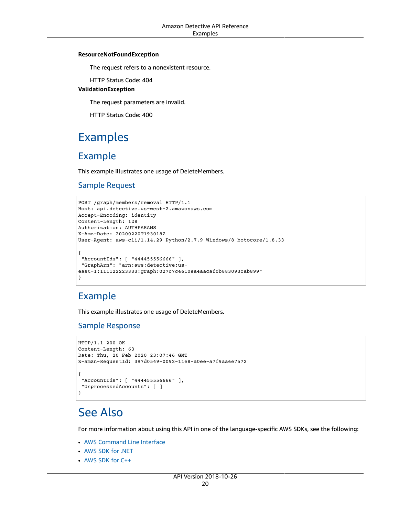#### **ResourceNotFoundException**

The request refers to a nonexistent resource.

HTTP Status Code: 404

#### **ValidationException**

The request parameters are invalid.

HTTP Status Code: 400

## <span id="page-25-0"></span>Examples

### Example

This example illustrates one usage of DeleteMembers.

### Sample Request

```
POST /graph/members/removal HTTP/1.1
Host: api.detective.us-west-2.amazonaws.com
Accept-Encoding: identity
Content-Length: 128
Authorization: AUTHPARAMS
X-Amz-Date: 20200220T193018Z
User-Agent: aws-cli/1.14.29 Python/2.7.9 Windows/8 botocore/1.8.33
{
  "AccountIds": [ "444455556666" ],
  "GraphArn": "arn:aws:detective:us-
east-1:111122223333:graph:027c7c4610ea4aacaf0b883093cab899"
}
```
### Example

This example illustrates one usage of DeleteMembers.

### Sample Response

```
HTTP/1.1 200 OK
Content-Length: 63
Date: Thu, 20 Feb 2020 23:07:46 GMT
x-amzn-RequestId: 397d0549-0092-11e8-a0ee-a7f9aa6e7572
{
  "AccountIds": [ "444455556666" ],
  "UnprocessedAccounts": [ ]
}
```
## <span id="page-25-1"></span>See Also

- AWS [Command](https://docs.aws.amazon.com/goto/aws-cli/detective-2018-10-26/DeleteMembers) Line Interface
- [AWS](https://docs.aws.amazon.com/goto/DotNetSDKV3/detective-2018-10-26/DeleteMembers) SDK for .NET
- [AWS](https://docs.aws.amazon.com/goto/SdkForCpp/detective-2018-10-26/DeleteMembers) SDK for C++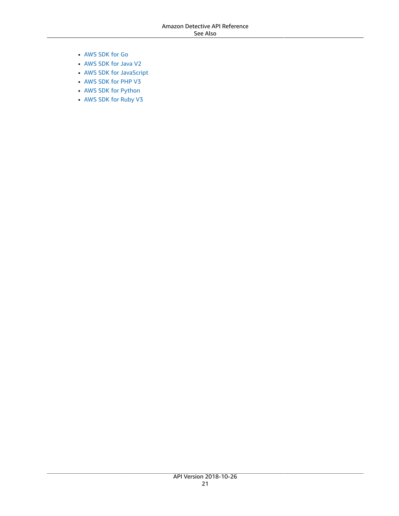- [AWS](https://docs.aws.amazon.com/goto/SdkForGoV1/detective-2018-10-26/DeleteMembers) SDK for Go
- [AWS](https://docs.aws.amazon.com/goto/SdkForJavaV2/detective-2018-10-26/DeleteMembers) SDK for Java V2
- AWS SDK for [JavaScript](https://docs.aws.amazon.com/goto/AWSJavaScriptSDK/detective-2018-10-26/DeleteMembers)
- [AWS](https://docs.aws.amazon.com/goto/SdkForPHPV3/detective-2018-10-26/DeleteMembers) SDK for PHP V3
- AWS SDK for [Python](https://docs.aws.amazon.com/goto/boto3/detective-2018-10-26/DeleteMembers)
- AWS SDK for [Ruby](https://docs.aws.amazon.com/goto/SdkForRubyV3/detective-2018-10-26/DeleteMembers) V3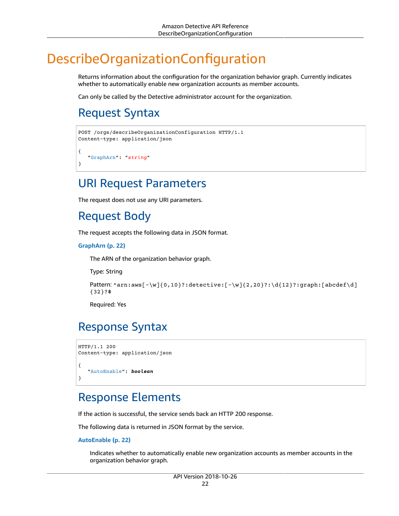## <span id="page-27-0"></span>DescribeOrganizationConfiguration

Returns information about the configuration for the organization behavior graph. Currently indicates whether to automatically enable new organization accounts as member accounts.

Can only be called by the Detective administrator account for the organization.

## <span id="page-27-1"></span>Request Syntax

```
POST /orgs/describeOrganizationConfiguration HTTP/1.1
Content-type: application/json
{
    "GraphArn": "string"
}
```
### <span id="page-27-2"></span>URI Request Parameters

The request does not use any URI parameters.

## <span id="page-27-3"></span>Request Body

The request accepts the following data in JSON format.

#### <span id="page-27-6"></span>**[GraphArn \(p. 22\)](#page-27-1)**

The ARN of the organization behavior graph.

Type: String

```
Pattern: \arctan: \arcsin(-\w}{0,10}?: detective:[-\w]{2,20}?: \d{12}?: graph:[abcdef\d]
{32}?$
```
Required: Yes

## <span id="page-27-4"></span>Response Syntax

```
HTTP/1.1 200
Content-type: application/json
{
    "AutoEnable": boolean
}
```
### <span id="page-27-5"></span>Response Elements

If the action is successful, the service sends back an HTTP 200 response.

The following data is returned in JSON format by the service.

#### <span id="page-27-7"></span>**[AutoEnable \(p. 22\)](#page-27-4)**

Indicates whether to automatically enable new organization accounts as member accounts in the organization behavior graph.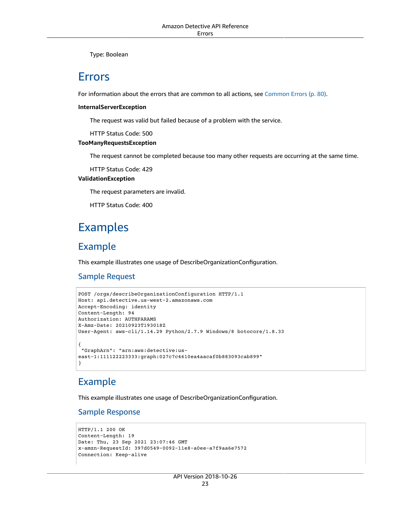Type: Boolean

### <span id="page-28-0"></span>Errors

For information about the errors that are common to all actions, see [Common](#page-85-0) Error[s \(p. 80\).](#page-85-0)

#### **InternalServerException**

The request was valid but failed because of a problem with the service.

HTTP Status Code: 500

#### **TooManyRequestsException**

The request cannot be completed because too many other requests are occurring at the same time.

HTTP Status Code: 429

#### **ValidationException**

The request parameters are invalid.

HTTP Status Code: 400

## <span id="page-28-1"></span>Examples

### Example

This example illustrates one usage of DescribeOrganizationConfiguration.

### Sample Request

```
POST /orgs/describeOrganizationConfiguration HTTP/1.1
Host: api.detective.us-west-2.amazonaws.com
Accept-Encoding: identity
Content-Length: 94
Authorization: AUTHPARAMS
X-Amz-Date: 20210923T193018Z
User-Agent: aws-cli/1.14.29 Python/2.7.9 Windows/8 botocore/1.8.33
{
 "GraphArn": "arn:aws:detective:us-
east-1:111122223333:graph:027c7c4610ea4aacaf0b883093cab899"
}
```
### Example

This example illustrates one usage of DescribeOrganizationConfiguration.

### Sample Response

```
HTTP/1.1 200 OK
Content-Length: 19
Date: Thu, 23 Sep 2021 23:07:46 GMT
x-amzn-RequestId: 397d0549-0092-11e8-a0ee-a7f9aa6e7572
Connection: Keep-alive
```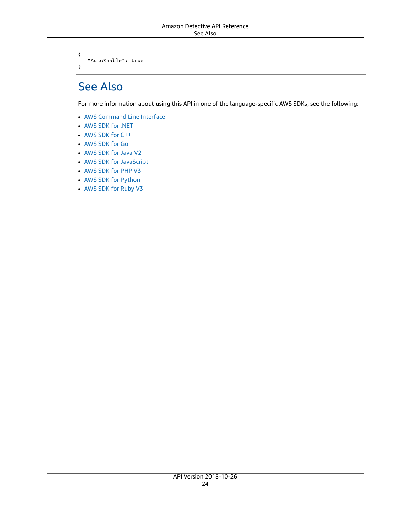"AutoEnable": true

## <span id="page-29-0"></span>See Also

{

}

- AWS [Command](https://docs.aws.amazon.com/goto/aws-cli/detective-2018-10-26/DescribeOrganizationConfiguration) Line Interface
- [AWS](https://docs.aws.amazon.com/goto/DotNetSDKV3/detective-2018-10-26/DescribeOrganizationConfiguration) SDK for .NET
- [AWS](https://docs.aws.amazon.com/goto/SdkForCpp/detective-2018-10-26/DescribeOrganizationConfiguration) SDK for C++
- [AWS](https://docs.aws.amazon.com/goto/SdkForGoV1/detective-2018-10-26/DescribeOrganizationConfiguration) SDK for Go
- [AWS](https://docs.aws.amazon.com/goto/SdkForJavaV2/detective-2018-10-26/DescribeOrganizationConfiguration) SDK for Java V2
- AWS SDK for [JavaScript](https://docs.aws.amazon.com/goto/AWSJavaScriptSDK/detective-2018-10-26/DescribeOrganizationConfiguration)
- [AWS](https://docs.aws.amazon.com/goto/SdkForPHPV3/detective-2018-10-26/DescribeOrganizationConfiguration) SDK for PHP V3
- AWS SDK for [Python](https://docs.aws.amazon.com/goto/boto3/detective-2018-10-26/DescribeOrganizationConfiguration)
- AWS SDK for [Ruby](https://docs.aws.amazon.com/goto/SdkForRubyV3/detective-2018-10-26/DescribeOrganizationConfiguration) V3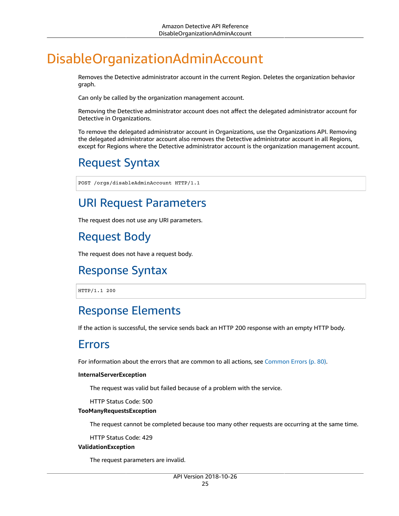## <span id="page-30-0"></span>DisableOrganizationAdminAccount

Removes the Detective administrator account in the current Region. Deletes the organization behavior graph.

Can only be called by the organization management account.

Removing the Detective administrator account does not affect the delegated administrator account for Detective in Organizations.

To remove the delegated administrator account in Organizations, use the Organizations API. Removing the delegated administrator account also removes the Detective administrator account in all Regions, except for Regions where the Detective administrator account is the organization management account.

## <span id="page-30-1"></span>Request Syntax

POST /orgs/disableAdminAccount HTTP/1.1

## <span id="page-30-2"></span>URI Request Parameters

The request does not use any URI parameters.

## <span id="page-30-3"></span>Request Body

The request does not have a request body.

## <span id="page-30-4"></span>Response Syntax

HTTP/1.1 200

## <span id="page-30-5"></span>Response Elements

<span id="page-30-6"></span>If the action is successful, the service sends back an HTTP 200 response with an empty HTTP body.

### Errors

For information about the errors that are common to all actions, see [Common](#page-85-0) Error[s \(p. 80\).](#page-85-0)

#### **InternalServerException**

The request was valid but failed because of a problem with the service.

HTTP Status Code: 500

#### **TooManyRequestsException**

The request cannot be completed because too many other requests are occurring at the same time.

HTTP Status Code: 429

#### **ValidationException**

The request parameters are invalid.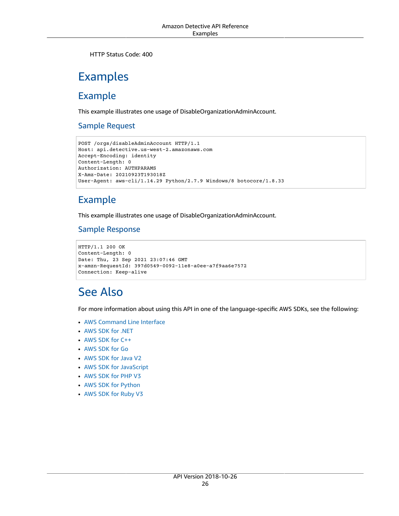HTTP Status Code: 400

## <span id="page-31-0"></span>Examples

### Example

This example illustrates one usage of DisableOrganizationAdminAccount.

### Sample Request

```
POST /orgs/disableAdminAccount HTTP/1.1
Host: api.detective.us-west-2.amazonaws.com
Accept-Encoding: identity
Content-Length: 0
Authorization: AUTHPARAMS
X-Amz-Date: 20210923T193018Z
User-Agent: aws-cli/1.14.29 Python/2.7.9 Windows/8 botocore/1.8.33
```
### Example

This example illustrates one usage of DisableOrganizationAdminAccount.

### Sample Response

```
HTTP/1.1 200 OK
Content-Length: 0
Date: Thu, 23 Sep 2021 23:07:46 GMT
x-amzn-RequestId: 397d0549-0092-11e8-a0ee-a7f9aa6e7572
Connection: Keep-alive
```
## <span id="page-31-1"></span>See Also

- AWS [Command](https://docs.aws.amazon.com/goto/aws-cli/detective-2018-10-26/DisableOrganizationAdminAccount) Line Interface
- [AWS](https://docs.aws.amazon.com/goto/DotNetSDKV3/detective-2018-10-26/DisableOrganizationAdminAccount) SDK for .NET
- [AWS](https://docs.aws.amazon.com/goto/SdkForCpp/detective-2018-10-26/DisableOrganizationAdminAccount) SDK for C++
- [AWS](https://docs.aws.amazon.com/goto/SdkForGoV1/detective-2018-10-26/DisableOrganizationAdminAccount) SDK for Go
- [AWS](https://docs.aws.amazon.com/goto/SdkForJavaV2/detective-2018-10-26/DisableOrganizationAdminAccount) SDK for Java V2
- AWS SDK for [JavaScript](https://docs.aws.amazon.com/goto/AWSJavaScriptSDK/detective-2018-10-26/DisableOrganizationAdminAccount)
- [AWS](https://docs.aws.amazon.com/goto/SdkForPHPV3/detective-2018-10-26/DisableOrganizationAdminAccount) SDK for PHP V3
- AWS SDK for [Python](https://docs.aws.amazon.com/goto/boto3/detective-2018-10-26/DisableOrganizationAdminAccount)
- AWS SDK for [Ruby](https://docs.aws.amazon.com/goto/SdkForRubyV3/detective-2018-10-26/DisableOrganizationAdminAccount) V3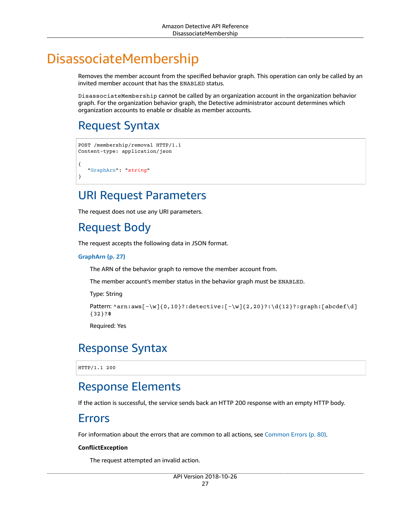## <span id="page-32-0"></span>DisassociateMembership

Removes the member account from the specified behavior graph. This operation can only be called by an invited member account that has the ENABLED status.

DisassociateMembership cannot be called by an organization account in the organization behavior graph. For the organization behavior graph, the Detective administrator account determines which organization accounts to enable or disable as member accounts.

## <span id="page-32-1"></span>Request Syntax

```
POST /membership/removal HTTP/1.1
Content-type: application/json
{
    "GraphArn": "string"
}
```
## <span id="page-32-2"></span>URI Request Parameters

The request does not use any URI parameters.

## <span id="page-32-3"></span>Request Body

The request accepts the following data in JSON format.

#### <span id="page-32-7"></span>**[GraphArn \(p. 27\)](#page-32-1)**

The ARN of the behavior graph to remove the member account from.

The member account's member status in the behavior graph must be ENABLED.

Type: String

```
Pattern: \arcsin\left[-\wright]_{0,10}?:detective:[-\w]{2,20}?:\d{12}?:graph:[abcdef\d]
{32}?$
```
Required: Yes

### <span id="page-32-4"></span>Response Syntax

HTTP/1.1 200

## <span id="page-32-5"></span>Response Elements

<span id="page-32-6"></span>If the action is successful, the service sends back an HTTP 200 response with an empty HTTP body.

### Errors

For information about the errors that are common to all actions, see [Common](#page-85-0) Error[s \(p. 80\).](#page-85-0)

#### **ConflictException**

The request attempted an invalid action.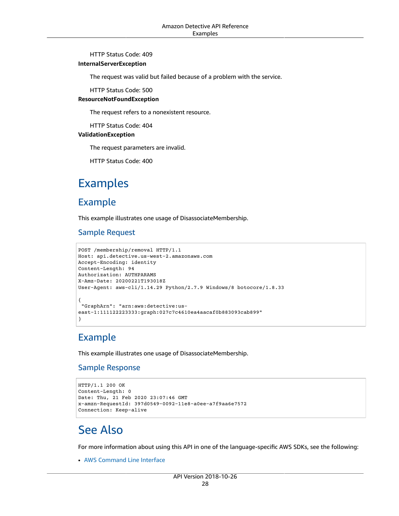#### HTTP Status Code: 409

#### **InternalServerException**

The request was valid but failed because of a problem with the service.

HTTP Status Code: 500

#### **ResourceNotFoundException**

The request refers to a nonexistent resource.

HTTP Status Code: 404

#### **ValidationException**

The request parameters are invalid.

HTTP Status Code: 400

## <span id="page-33-0"></span>Examples

### Example

This example illustrates one usage of DisassociateMembership.

### Sample Request

```
POST /membership/removal HTTP/1.1
Host: api.detective.us-west-2.amazonaws.com
Accept-Encoding: identity
Content-Length: 94
Authorization: AUTHPARAMS
X-Amz-Date: 20200221T193018Z
User-Agent: aws-cli/1.14.29 Python/2.7.9 Windows/8 botocore/1.8.33
{
  "GraphArn": "arn:aws:detective:us-
east-1:111122223333:graph:027c7c4610ea4aacaf0b883093cab899"
}
```
### Example

This example illustrates one usage of DisassociateMembership.

### Sample Response

```
HTTP/1.1 200 OK
Content-Length: 0
Date: Thu, 21 Feb 2020 23:07:46 GMT
x-amzn-RequestId: 397d0549-0092-11e8-a0ee-a7f9aa6e7572
Connection: Keep-alive
```
## <span id="page-33-1"></span>See Also

For more information about using this API in one of the language-specific AWS SDKs, see the following:

• AWS [Command](https://docs.aws.amazon.com/goto/aws-cli/detective-2018-10-26/DisassociateMembership) Line Interface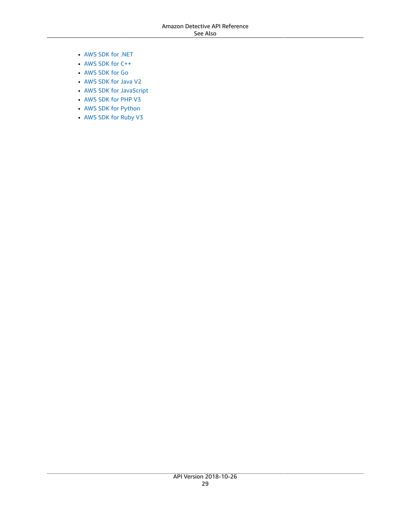- [AWS](https://docs.aws.amazon.com/goto/DotNetSDKV3/detective-2018-10-26/DisassociateMembership) SDK for .NET
- [AWS](https://docs.aws.amazon.com/goto/SdkForCpp/detective-2018-10-26/DisassociateMembership) SDK for C++
- [AWS](https://docs.aws.amazon.com/goto/SdkForGoV1/detective-2018-10-26/DisassociateMembership) SDK for Go
- [AWS](https://docs.aws.amazon.com/goto/SdkForJavaV2/detective-2018-10-26/DisassociateMembership) SDK for Java V2
- AWS SDK for [JavaScript](https://docs.aws.amazon.com/goto/AWSJavaScriptSDK/detective-2018-10-26/DisassociateMembership)
- [AWS](https://docs.aws.amazon.com/goto/SdkForPHPV3/detective-2018-10-26/DisassociateMembership) SDK for PHP V3
- AWS SDK for [Python](https://docs.aws.amazon.com/goto/boto3/detective-2018-10-26/DisassociateMembership)
- AWS SDK for [Ruby](https://docs.aws.amazon.com/goto/SdkForRubyV3/detective-2018-10-26/DisassociateMembership) V3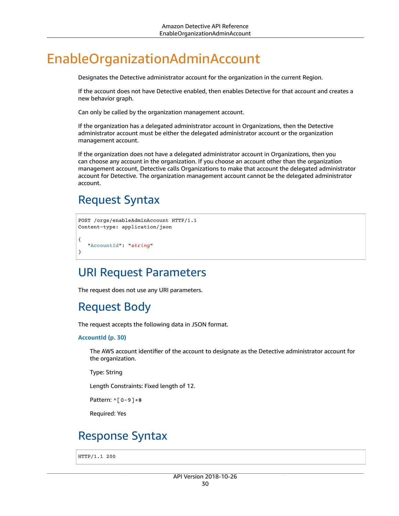## <span id="page-35-0"></span>EnableOrganizationAdminAccount

Designates the Detective administrator account for the organization in the current Region.

If the account does not have Detective enabled, then enables Detective for that account and creates a new behavior graph.

Can only be called by the organization management account.

If the organization has a delegated administrator account in Organizations, then the Detective administrator account must be either the delegated administrator account or the organization management account.

If the organization does not have a delegated administrator account in Organizations, then you can choose any account in the organization. If you choose an account other than the organization management account, Detective calls Organizations to make that account the delegated administrator account for Detective. The organization management account cannot be the delegated administrator account.

## <span id="page-35-1"></span>Request Syntax

```
POST /orgs/enableAdminAccount HTTP/1.1
Content-type: application/json
{
    "AccountId": "string"
}
```
## <span id="page-35-2"></span>URI Request Parameters

<span id="page-35-3"></span>The request does not use any URI parameters.

## Request Body

The request accepts the following data in JSON format.

#### <span id="page-35-5"></span>**[AccountId \(p. 30\)](#page-35-1)**

The AWS account identifier of the account to designate as the Detective administrator account for the organization.

Type: String

Length Constraints: Fixed length of 12.

Pattern: ^[0-9]+\$

Required: Yes

## <span id="page-35-4"></span>Response Syntax

HTTP/1.1 200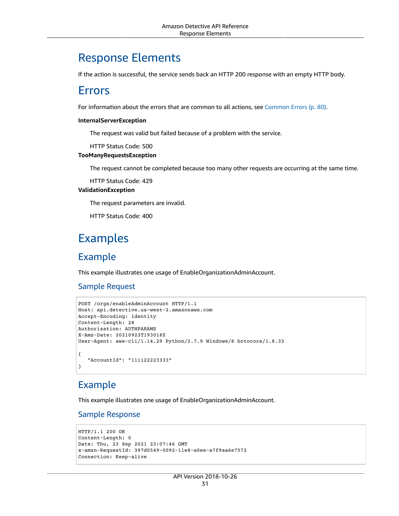### Response Elements

If the action is successful, the service sends back an HTTP 200 response with an empty HTTP body.

### Errors

For information about the errors that are common to all actions, see [Common](#page-85-0) Error[s \(p. 80\).](#page-85-0)

#### **InternalServerException**

The request was valid but failed because of a problem with the service.

HTTP Status Code: 500

#### **TooManyRequestsException**

The request cannot be completed because too many other requests are occurring at the same time.

HTTP Status Code: 429

#### **ValidationException**

The request parameters are invalid.

HTTP Status Code: 400

### Examples

### Example

This example illustrates one usage of EnableOrganizationAdminAccount.

#### Sample Request

```
POST /orgs/enableAdminAccount HTTP/1.1
Host: api.detective.us-west-2.amazonaws.com
Accept-Encoding: identity
Content-Length: 28
Authorization: AUTHPARAMS
X-Amz-Date: 20210923T193018Z
User-Agent: aws-cli/1.14.29 Python/2.7.9 Windows/8 botocore/1.8.33
{
    "AccountId": "111122223333"
}
```
### Example

This example illustrates one usage of EnableOrganizationAdminAccount.

#### Sample Response

```
HTTP/1.1 200 OK
Content-Length: 0
Date: Thu, 23 Sep 2021 23:07:46 GMT
x-amzn-RequestId: 397d0549-0092-11e8-a0ee-a7f9aa6e7572
Connection: Keep-alive
```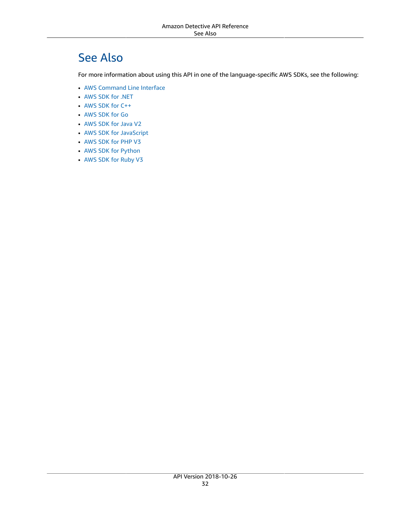# See Also

- AWS [Command](https://docs.aws.amazon.com/goto/aws-cli/detective-2018-10-26/EnableOrganizationAdminAccount) Line Interface
- [AWS](https://docs.aws.amazon.com/goto/DotNetSDKV3/detective-2018-10-26/EnableOrganizationAdminAccount) SDK for .NET
- [AWS](https://docs.aws.amazon.com/goto/SdkForCpp/detective-2018-10-26/EnableOrganizationAdminAccount) SDK for C++
- [AWS](https://docs.aws.amazon.com/goto/SdkForGoV1/detective-2018-10-26/EnableOrganizationAdminAccount) SDK for Go
- [AWS](https://docs.aws.amazon.com/goto/SdkForJavaV2/detective-2018-10-26/EnableOrganizationAdminAccount) SDK for Java V2
- AWS SDK for [JavaScript](https://docs.aws.amazon.com/goto/AWSJavaScriptSDK/detective-2018-10-26/EnableOrganizationAdminAccount)
- [AWS](https://docs.aws.amazon.com/goto/SdkForPHPV3/detective-2018-10-26/EnableOrganizationAdminAccount) SDK for PHP V3
- AWS SDK for [Python](https://docs.aws.amazon.com/goto/boto3/detective-2018-10-26/EnableOrganizationAdminAccount)
- AWS SDK for [Ruby](https://docs.aws.amazon.com/goto/SdkForRubyV3/detective-2018-10-26/EnableOrganizationAdminAccount) V3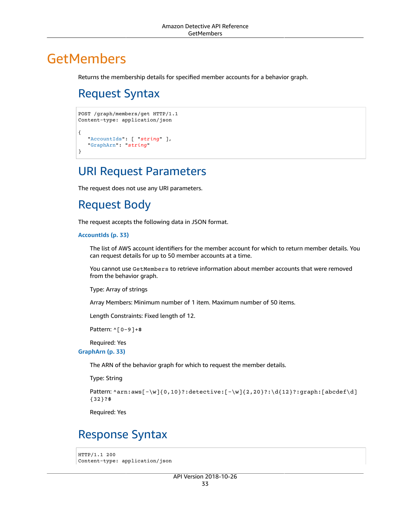# <span id="page-38-2"></span>**GetMembers**

Returns the membership details for specified member accounts for a behavior graph.

# Request Syntax

```
POST /graph/members/get HTTP/1.1
Content-type: application/json
{
    "AccountIds": [ "string" ],
    "GraphArn": "string"
}
```
### URI Request Parameters

The request does not use any URI parameters.

## Request Body

The request accepts the following data in JSON format.

#### <span id="page-38-0"></span>**[AccountIds \(p. 33\)](#page-38-2)**

The list of AWS account identifiers for the member account for which to return member details. You can request details for up to 50 member accounts at a time.

You cannot use GetMembers to retrieve information about member accounts that were removed from the behavior graph.

Type: Array of strings

Array Members: Minimum number of 1 item. Maximum number of 50 items.

Length Constraints: Fixed length of 12.

Pattern: ^[0-9]+\$

Required: Yes

<span id="page-38-1"></span>**[GraphArn \(p. 33\)](#page-38-2)**

The ARN of the behavior graph for which to request the member details.

Type: String

```
Pattern: \text{~\alpha}rn:aws[-\w]{0,10}?:detective:[-\w]{2,20}?:\d{12}?:graph:[abcdef\d]
{32}?$
```
Required: Yes

### <span id="page-38-3"></span>Response Syntax

```
HTTP/1.1 200
Content-type: application/json
```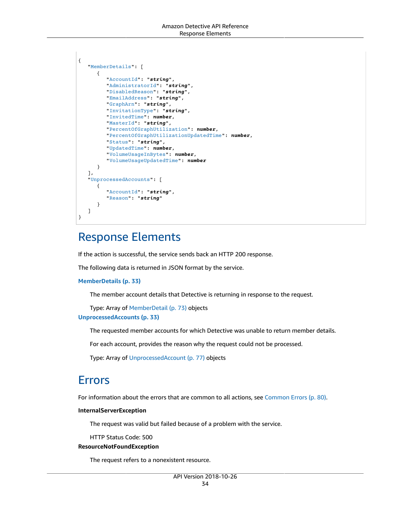```
{
    "MemberDetails": [ 
       { 
          "AccountId": "string",
          "AdministratorId": "string",
          "DisabledReason": "string",
          "EmailAddress": "string",
          "GraphArn": "string",
          "InvitationType": "string",
          "InvitedTime": number,
          "MasterId": "string",
          "PercentOfGraphUtilization": number,
          "PercentOfGraphUtilizationUpdatedTime": number,
          "Status": "string",
          "UpdatedTime": number,
          "VolumeUsageInBytes": number,
          "VolumeUsageUpdatedTime": number
       }
    ],
    "UnprocessedAccounts": [ 
       { 
          "AccountId": "string",
          "Reason": "string"
       }
    ]
}
```
## Response Elements

If the action is successful, the service sends back an HTTP 200 response.

The following data is returned in JSON format by the service.

#### <span id="page-39-0"></span>**[MemberDetails \(p. 33\)](#page-38-3)**

The member account details that Detective is returning in response to the request.

<span id="page-39-1"></span>Type: Array of [MemberDetail \(p. 73\)](#page-78-5) objects **[UnprocessedAccounts \(p. 33\)](#page-38-3)**

The requested member accounts for which Detective was unable to return member details.

For each account, provides the reason why the request could not be processed.

Type: Array of [UnprocessedAccount \(p. 77\)](#page-82-2) objects

### Errors

For information about the errors that are common to all actions, see [Common](#page-85-0) Error[s \(p. 80\).](#page-85-0)

#### **InternalServerException**

The request was valid but failed because of a problem with the service.

HTTP Status Code: 500

#### **ResourceNotFoundException**

The request refers to a nonexistent resource.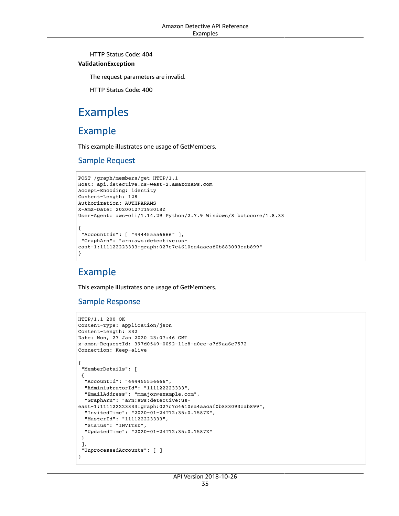HTTP Status Code: 404

#### **ValidationException**

The request parameters are invalid.

HTTP Status Code: 400

### Examples

### Example

This example illustrates one usage of GetMembers.

#### Sample Request

```
POST /graph/members/get HTTP/1.1
Host: api.detective.us-west-2.amazonaws.com
Accept-Encoding: identity
Content-Length: 128
Authorization: AUTHPARAMS
X-Amz-Date: 20200127T193018Z
User-Agent: aws-cli/1.14.29 Python/2.7.9 Windows/8 botocore/1.8.33
{
  "AccountIds": [ "444455556666" ],
  "GraphArn": "arn:aws:detective:us-
east-1:111122223333:graph:027c7c4610ea4aacaf0b883093cab899"
}
```
### Example

This example illustrates one usage of GetMembers.

#### Sample Response

```
HTTP/1.1 200 OK
Content-Type: application/json
Content-Length: 332
Date: Mon, 27 Jan 2020 23:07:46 GMT
x-amzn-RequestId: 397d0549-0092-11e8-a0ee-a7f9aa6e7572
Connection: Keep-alive
{
  "MemberDetails": [ 
  { 
   "AccountId": "444455556666",
   "AdministratorId": "111122223333",
   "EmailAddress": "mmajor@example.com",
   "GraphArn": "arn:aws:detective:us-
east-1:111122223333:graph:027c7c4610ea4aacaf0b883093cab899",
   "InvitedTime": "2020-01-24T12:35:0.1587Z",
   "MasterId": "111122223333",
   "Status": "INVITED",
   "UpdatedTime": "2020-01-24T12:35:0.1587Z"
  }
  ],
  "UnprocessedAccounts": [ ]
}
```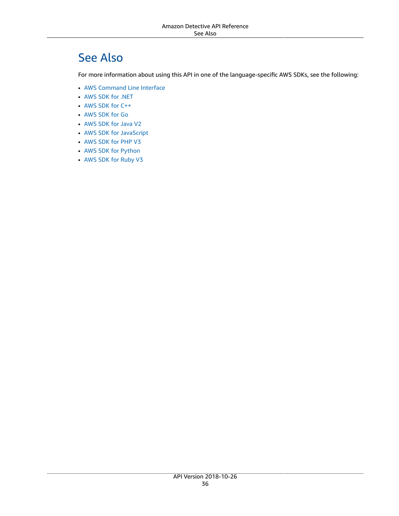# See Also

- AWS [Command](https://docs.aws.amazon.com/goto/aws-cli/detective-2018-10-26/GetMembers) Line Interface
- [AWS](https://docs.aws.amazon.com/goto/DotNetSDKV3/detective-2018-10-26/GetMembers) SDK for .NET
- [AWS](https://docs.aws.amazon.com/goto/SdkForCpp/detective-2018-10-26/GetMembers) SDK for C++
- [AWS](https://docs.aws.amazon.com/goto/SdkForGoV1/detective-2018-10-26/GetMembers) SDK for Go
- [AWS](https://docs.aws.amazon.com/goto/SdkForJavaV2/detective-2018-10-26/GetMembers) SDK for Java V2
- AWS SDK for [JavaScript](https://docs.aws.amazon.com/goto/AWSJavaScriptSDK/detective-2018-10-26/GetMembers)
- [AWS](https://docs.aws.amazon.com/goto/SdkForPHPV3/detective-2018-10-26/GetMembers) SDK for PHP V3
- AWS SDK for [Python](https://docs.aws.amazon.com/goto/boto3/detective-2018-10-26/GetMembers)
- AWS SDK for [Ruby](https://docs.aws.amazon.com/goto/SdkForRubyV3/detective-2018-10-26/GetMembers) V3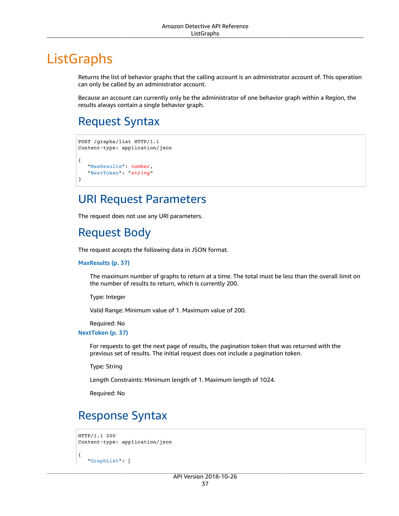# **ListGraphs**

Returns the list of behavior graphs that the calling account is an administrator account of. This operation can only be called by an administrator account.

Because an account can currently only be the administrator of one behavior graph within a Region, the results always contain a single behavior graph.

# <span id="page-42-2"></span>Request Syntax

```
POST /graphs/list HTTP/1.1
Content-type: application/json
{
    "MaxResults": number,
    "NextToken": "string"
}
```
### URI Request Parameters

The request does not use any URI parameters.

## Request Body

The request accepts the following data in JSON format.

#### <span id="page-42-0"></span>**[MaxResults \(p. 37\)](#page-42-2)**

The maximum number of graphs to return at a time. The total must be less than the overall limit on the number of results to return, which is currently 200.

Type: Integer

Valid Range: Minimum value of 1. Maximum value of 200.

Required: No

<span id="page-42-1"></span>**[NextToken \(p. 37\)](#page-42-2)**

For requests to get the next page of results, the pagination token that was returned with the previous set of results. The initial request does not include a pagination token.

Type: String

Length Constraints: Minimum length of 1. Maximum length of 1024.

Required: No

## <span id="page-42-3"></span>Response Syntax

```
HTTP/1.1 200
Content-type: application/json
{
    "GraphList": [
```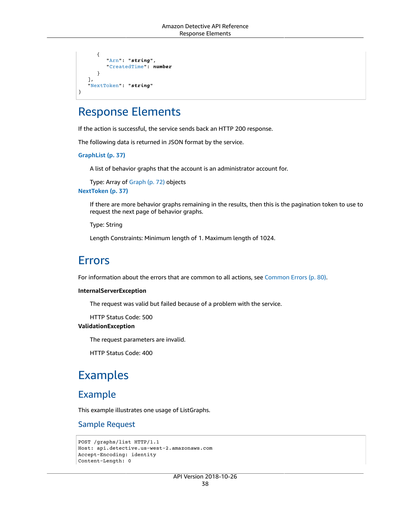```
 { 
           "Arn": "string",
           "CreatedTime": number
        }
    ],
    "NextToken": "string"
}
```
## Response Elements

If the action is successful, the service sends back an HTTP 200 response.

The following data is returned in JSON format by the service.

<span id="page-43-0"></span>**[GraphList \(p. 37\)](#page-42-3)**

A list of behavior graphs that the account is an administrator account for.

<span id="page-43-1"></span>Type: Array of [Graph \(p. 72\)](#page-77-2) objects **[NextToken \(p. 37\)](#page-42-3)**

> If there are more behavior graphs remaining in the results, then this is the pagination token to use to request the next page of behavior graphs.

Type: String

Length Constraints: Minimum length of 1. Maximum length of 1024.

### Errors

For information about the errors that are common to all actions, see [Common](#page-85-0) Error[s \(p. 80\).](#page-85-0)

#### **InternalServerException**

The request was valid but failed because of a problem with the service.

HTTP Status Code: 500

#### **ValidationException**

The request parameters are invalid.

HTTP Status Code: 400

### Examples

### Example

This example illustrates one usage of ListGraphs.

#### Sample Request

```
POST /graphs/list HTTP/1.1
Host: api.detective.us-west-2.amazonaws.com
Accept-Encoding: identity
Content-Length: 0
```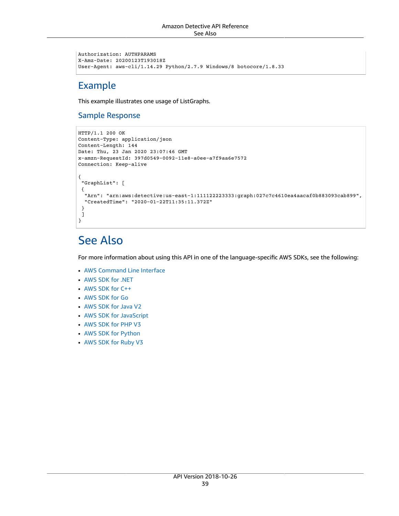```
Authorization: AUTHPARAMS
X-Amz-Date: 20200123T193018Z
User-Agent: aws-cli/1.14.29 Python/2.7.9 Windows/8 botocore/1.8.33
```
### Example

This example illustrates one usage of ListGraphs.

#### Sample Response

```
HTTP/1.1 200 OK
Content-Type: application/json
Content-Length: 144
Date: Thu, 23 Jan 2020 23:07:46 GMT
x-amzn-RequestId: 397d0549-0092-11e8-a0ee-a7f9aa6e7572
Connection: Keep-alive
{
  "GraphList": [ 
  { 
   "Arn": "arn:aws:detective:us-east-1:111122223333:graph:027c7c4610ea4aacaf0b883093cab899",
   "CreatedTime": "2020-01-22T11:35:11.372Z"
  }
 ]
}
```
# See Also

- AWS [Command](https://docs.aws.amazon.com/goto/aws-cli/detective-2018-10-26/ListGraphs) Line Interface
- [AWS](https://docs.aws.amazon.com/goto/DotNetSDKV3/detective-2018-10-26/ListGraphs) SDK for .NET
- [AWS](https://docs.aws.amazon.com/goto/SdkForCpp/detective-2018-10-26/ListGraphs) SDK for C++
- [AWS](https://docs.aws.amazon.com/goto/SdkForGoV1/detective-2018-10-26/ListGraphs) SDK for Go
- [AWS](https://docs.aws.amazon.com/goto/SdkForJavaV2/detective-2018-10-26/ListGraphs) SDK for Java V2
- AWS SDK for [JavaScript](https://docs.aws.amazon.com/goto/AWSJavaScriptSDK/detective-2018-10-26/ListGraphs)
- [AWS](https://docs.aws.amazon.com/goto/SdkForPHPV3/detective-2018-10-26/ListGraphs) SDK for PHP V3
- AWS SDK for [Python](https://docs.aws.amazon.com/goto/boto3/detective-2018-10-26/ListGraphs)
- AWS SDK for [Ruby](https://docs.aws.amazon.com/goto/SdkForRubyV3/detective-2018-10-26/ListGraphs) V3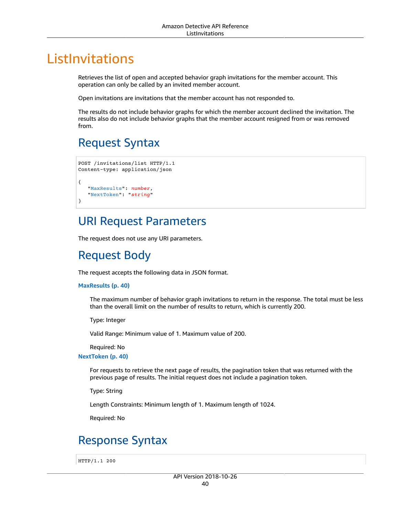# ListInvitations

Retrieves the list of open and accepted behavior graph invitations for the member account. This operation can only be called by an invited member account.

Open invitations are invitations that the member account has not responded to.

The results do not include behavior graphs for which the member account declined the invitation. The results also do not include behavior graphs that the member account resigned from or was removed from.

## <span id="page-45-2"></span>Request Syntax

```
POST /invitations/list HTTP/1.1
Content-type: application/json
{
    "MaxResults": number,
    "NextToken": "string"
}
```
### URI Request Parameters

The request does not use any URI parameters.

## Request Body

The request accepts the following data in JSON format.

#### <span id="page-45-0"></span>**[MaxResults \(p. 40\)](#page-45-2)**

The maximum number of behavior graph invitations to return in the response. The total must be less than the overall limit on the number of results to return, which is currently 200.

Type: Integer

Valid Range: Minimum value of 1. Maximum value of 200.

Required: No

#### <span id="page-45-1"></span>**[NextToken \(p. 40\)](#page-45-2)**

For requests to retrieve the next page of results, the pagination token that was returned with the previous page of results. The initial request does not include a pagination token.

Type: String

Length Constraints: Minimum length of 1. Maximum length of 1024.

Required: No

## <span id="page-45-3"></span>Response Syntax

HTTP/1.1 200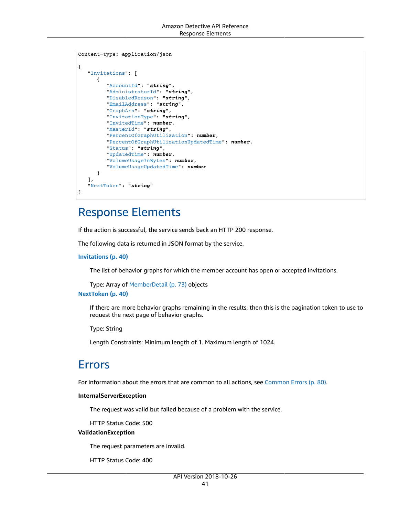```
Content-type: application/json
{
    "Invitations": [ 
       { 
          "AccountId": "string",
          "AdministratorId": "string",
          "DisabledReason": "string",
          "EmailAddress": "string",
          "GraphArn": "string",
          "InvitationType": "string",
          "InvitedTime": number,
          "MasterId": "string",
          "PercentOfGraphUtilization": number,
          "PercentOfGraphUtilizationUpdatedTime": number,
          "Status": "string",
          "UpdatedTime": number,
          "VolumeUsageInBytes": number,
          "VolumeUsageUpdatedTime": number
       }
    ],
    "NextToken": "string"
}
```
## Response Elements

If the action is successful, the service sends back an HTTP 200 response.

The following data is returned in JSON format by the service.

#### <span id="page-46-0"></span>**[Invitations \(p. 40\)](#page-45-3)**

The list of behavior graphs for which the member account has open or accepted invitations.

Type: Array of [MemberDetail \(p. 73\)](#page-78-5) objects

#### <span id="page-46-1"></span>**[NextToken \(p. 40\)](#page-45-3)**

If there are more behavior graphs remaining in the results, then this is the pagination token to use to request the next page of behavior graphs.

Type: String

Length Constraints: Minimum length of 1. Maximum length of 1024.

### Errors

For information about the errors that are common to all actions, see [Common](#page-85-0) Error[s \(p. 80\).](#page-85-0)

#### **InternalServerException**

The request was valid but failed because of a problem with the service.

HTTP Status Code: 500

#### **ValidationException**

The request parameters are invalid.

HTTP Status Code: 400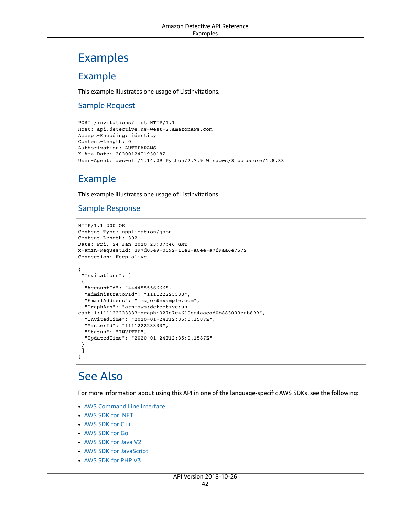# Examples

### Example

This example illustrates one usage of ListInvitations.

#### Sample Request

```
POST /invitations/list HTTP/1.1
Host: api.detective.us-west-2.amazonaws.com
Accept-Encoding: identity
Content-Length: 0
Authorization: AUTHPARAMS
X-Amz-Date: 20200124T193018Z
User-Agent: aws-cli/1.14.29 Python/2.7.9 Windows/8 botocore/1.8.33
```
### Example

This example illustrates one usage of ListInvitations.

### Sample Response

```
HTTP/1.1 200 OK
Content-Type: application/json
Content-Length: 302
Date: Fri, 24 Jan 2020 23:07:46 GMT
x-amzn-RequestId: 397d0549-0092-11e8-a0ee-a7f9aa6e7572
Connection: Keep-alive
{
  "Invitations": [ 
  { 
   "AccountId": "444455556666",
   "AdministratorId": "111122223333",
   "EmailAddress": "mmajor@example.com",
   "GraphArn": "arn:aws:detective:us-
east-1:111122223333:graph:027c7c4610ea4aacaf0b883093cab899",
   "InvitedTime": "2020-01-24T12:35:0.1587Z",
   "MasterId": "111122223333",
   "Status": "INVITED",
   "UpdatedTime": "2020-01-24T12:35:0.1587Z"
  }
  ]
}
```
# See Also

- AWS [Command](https://docs.aws.amazon.com/goto/aws-cli/detective-2018-10-26/ListInvitations) Line Interface
- [AWS](https://docs.aws.amazon.com/goto/DotNetSDKV3/detective-2018-10-26/ListInvitations) SDK for .NET
- [AWS](https://docs.aws.amazon.com/goto/SdkForCpp/detective-2018-10-26/ListInvitations) SDK for C++
- [AWS](https://docs.aws.amazon.com/goto/SdkForGoV1/detective-2018-10-26/ListInvitations) SDK for Go
- [AWS](https://docs.aws.amazon.com/goto/SdkForJavaV2/detective-2018-10-26/ListInvitations) SDK for Java V2
- AWS SDK for [JavaScript](https://docs.aws.amazon.com/goto/AWSJavaScriptSDK/detective-2018-10-26/ListInvitations)
- [AWS](https://docs.aws.amazon.com/goto/SdkForPHPV3/detective-2018-10-26/ListInvitations) SDK for PHP V3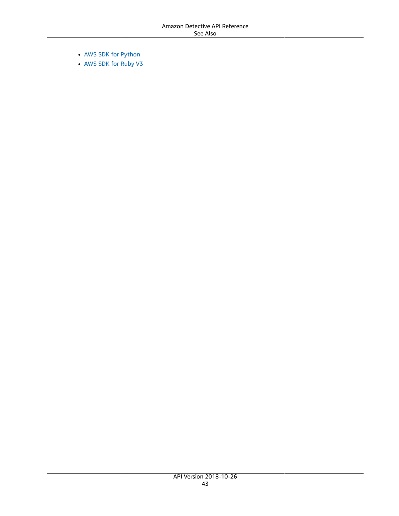- AWS SDK for [Python](https://docs.aws.amazon.com/goto/boto3/detective-2018-10-26/ListInvitations)
- AWS SDK for [Ruby](https://docs.aws.amazon.com/goto/SdkForRubyV3/detective-2018-10-26/ListInvitations) V3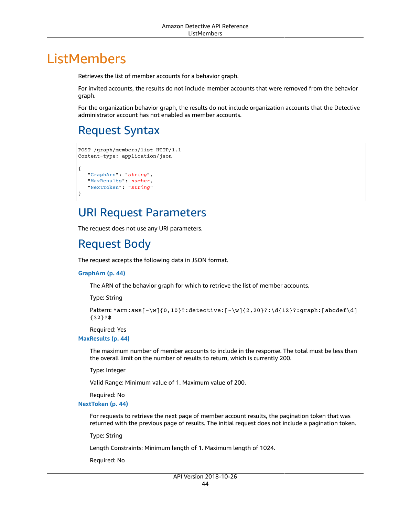# ListMembers

Retrieves the list of member accounts for a behavior graph.

For invited accounts, the results do not include member accounts that were removed from the behavior graph.

For the organization behavior graph, the results do not include organization accounts that the Detective administrator account has not enabled as member accounts.

# <span id="page-49-3"></span>Request Syntax

```
POST /graph/members/list HTTP/1.1
Content-type: application/json
{
    "GraphArn": "string",
    "MaxResults": number,
    "NextToken": "string"
}
```
## URI Request Parameters

The request does not use any URI parameters.

## Request Body

The request accepts the following data in JSON format.

#### <span id="page-49-0"></span>**[GraphArn \(p. 44\)](#page-49-3)**

The ARN of the behavior graph for which to retrieve the list of member accounts.

Type: String

```
Pattern: ^arn:aws[-\w]{0,10}?:detective:[-\w]{2,20}?:\d{12}?:graph:[abcdef\d]
{32}?$
```
Required: Yes

#### <span id="page-49-1"></span>**[MaxResults \(p. 44\)](#page-49-3)**

The maximum number of member accounts to include in the response. The total must be less than the overall limit on the number of results to return, which is currently 200.

Type: Integer

Valid Range: Minimum value of 1. Maximum value of 200.

Required: No

#### <span id="page-49-2"></span>**[NextToken \(p. 44\)](#page-49-3)**

For requests to retrieve the next page of member account results, the pagination token that was returned with the previous page of results. The initial request does not include a pagination token.

Type: String

Length Constraints: Minimum length of 1. Maximum length of 1024.

Required: No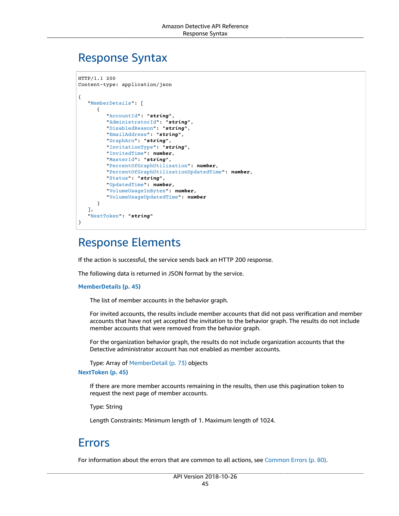### <span id="page-50-2"></span>Response Syntax

```
HTTP/1.1 200
Content-type: application/json
{
    "MemberDetails": [ 
       { 
           "AccountId": "string",
          "AdministratorId": "string",
          "DisabledReason": "string",
           "EmailAddress": "string",
           "GraphArn": "string",
           "InvitationType": "string",
           "InvitedTime": number,
           "MasterId": "string",
           "PercentOfGraphUtilization": number,
           "PercentOfGraphUtilizationUpdatedTime": number,
           "Status": "string",
           "UpdatedTime": number,
           "VolumeUsageInBytes": number,
           "VolumeUsageUpdatedTime": number
       }
    ],
    "NextToken": "string"
}
```
## Response Elements

If the action is successful, the service sends back an HTTP 200 response.

The following data is returned in JSON format by the service.

#### <span id="page-50-0"></span>**[MemberDetails \(p. 45\)](#page-50-2)**

The list of member accounts in the behavior graph.

For invited accounts, the results include member accounts that did not pass verification and member accounts that have not yet accepted the invitation to the behavior graph. The results do not include member accounts that were removed from the behavior graph.

For the organization behavior graph, the results do not include organization accounts that the Detective administrator account has not enabled as member accounts.

Type: Array of [MemberDetail \(p. 73\)](#page-78-5) objects

#### <span id="page-50-1"></span>**[NextToken \(p. 45\)](#page-50-2)**

If there are more member accounts remaining in the results, then use this pagination token to request the next page of member accounts.

Type: String

Length Constraints: Minimum length of 1. Maximum length of 1024.

### Errors

For information about the errors that are common to all actions, see [Common](#page-85-0) Error[s \(p. 80\).](#page-85-0)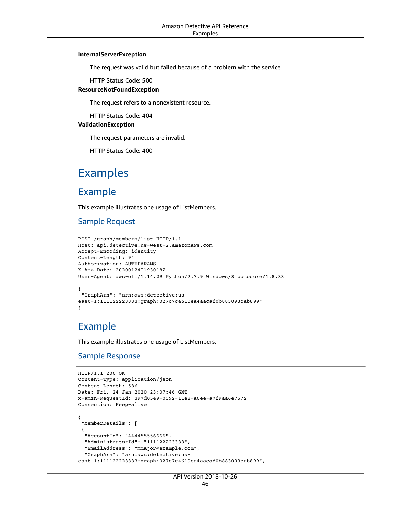#### **InternalServerException**

The request was valid but failed because of a problem with the service.

HTTP Status Code: 500

#### **ResourceNotFoundException**

The request refers to a nonexistent resource.

HTTP Status Code: 404

#### **ValidationException**

The request parameters are invalid.

HTTP Status Code: 400

## Examples

### Example

This example illustrates one usage of ListMembers.

#### Sample Request

```
POST /graph/members/list HTTP/1.1
Host: api.detective.us-west-2.amazonaws.com
Accept-Encoding: identity
Content-Length: 94
Authorization: AUTHPARAMS
X-Amz-Date: 20200124T193018Z
User-Agent: aws-cli/1.14.29 Python/2.7.9 Windows/8 botocore/1.8.33
{
 "GraphArn": "arn:aws:detective:us-
east-1:111122223333:graph:027c7c4610ea4aacaf0b883093cab899"
}
```
### Example

This example illustrates one usage of ListMembers.

#### Sample Response

```
HTTP/1.1 200 OK
Content-Type: application/json
Content-Length: 586
Date: Fri, 24 Jan 2020 23:07:46 GMT
x-amzn-RequestId: 397d0549-0092-11e8-a0ee-a7f9aa6e7572
Connection: Keep-alive
{
  "MemberDetails": [ 
  { 
   "AccountId": "444455556666",
   "AdministratorId": "111122223333",
   "EmailAddress": "mmajor@example.com",
   "GraphArn": "arn:aws:detective:us-
east-1:111122223333:graph:027c7c4610ea4aacaf0b883093cab899",
```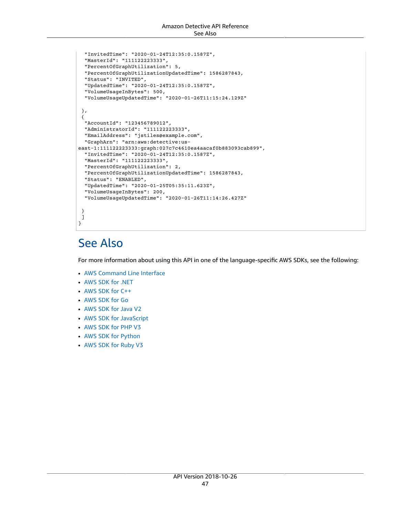```
 "InvitedTime": "2020-01-24T12:35:0.1587Z",
   "MasterId": "111122223333",
  "PercentOfGraphUtilization": 5,
  "PercentOfGraphUtilizationUpdatedTime": 1586287843,
   "Status": "INVITED",
  "UpdatedTime": "2020-01-24T12:35:0.1587Z",
  "VolumeUsageInBytes": 500,
  "VolumeUsageUpdatedTime": "2020-01-26T11:15:24.129Z"
 },
 { 
   "AccountId": "123456789012",
  "AdministratorId": "111122223333",
  "EmailAddress": "jstiles@example.com",
  "GraphArn": "arn:aws:detective:us-
east-1:111122223333:graph:027c7c4610ea4aacaf0b883093cab899",
  "InvitedTime": "2020-01-24T12:35:0.1587Z",
  "MasterId": "111122223333",
  "PercentOfGraphUtilization": 2,
  "PercentOfGraphUtilizationUpdatedTime": 1586287843,
  "Status": "ENABLED",
  "UpdatedTime": "2020-01-25T05:35:11.623Z",
  "VolumeUsageInBytes": 200,
  "VolumeUsageUpdatedTime": "2020-01-26T11:14:26.427Z"
 }
 ]
}
```
# See Also

- AWS [Command](https://docs.aws.amazon.com/goto/aws-cli/detective-2018-10-26/ListMembers) Line Interface
- [AWS](https://docs.aws.amazon.com/goto/DotNetSDKV3/detective-2018-10-26/ListMembers) SDK for .NET
- [AWS](https://docs.aws.amazon.com/goto/SdkForCpp/detective-2018-10-26/ListMembers) SDK for C++
- [AWS](https://docs.aws.amazon.com/goto/SdkForGoV1/detective-2018-10-26/ListMembers) SDK for Go
- [AWS](https://docs.aws.amazon.com/goto/SdkForJavaV2/detective-2018-10-26/ListMembers) SDK for Java V2
- AWS SDK for [JavaScript](https://docs.aws.amazon.com/goto/AWSJavaScriptSDK/detective-2018-10-26/ListMembers)
- [AWS](https://docs.aws.amazon.com/goto/SdkForPHPV3/detective-2018-10-26/ListMembers) SDK for PHP V3
- AWS SDK for [Python](https://docs.aws.amazon.com/goto/boto3/detective-2018-10-26/ListMembers)
- AWS SDK for [Ruby](https://docs.aws.amazon.com/goto/SdkForRubyV3/detective-2018-10-26/ListMembers) V3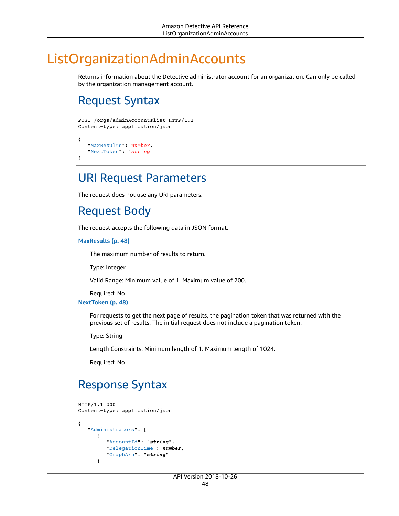# ListOrganizationAdminAccounts

Returns information about the Detective administrator account for an organization. Can only be called by the organization management account.

# <span id="page-53-2"></span>Request Syntax

```
POST /orgs/adminAccountslist HTTP/1.1
Content-type: application/json
{
    "MaxResults": number,
    "NextToken": "string"
}
```
### URI Request Parameters

The request does not use any URI parameters.

## Request Body

The request accepts the following data in JSON format.

#### <span id="page-53-0"></span>**[MaxResults \(p. 48\)](#page-53-2)**

The maximum number of results to return.

Type: Integer

Valid Range: Minimum value of 1. Maximum value of 200.

Required: No

#### <span id="page-53-1"></span>**[NextToken \(p. 48\)](#page-53-2)**

For requests to get the next page of results, the pagination token that was returned with the previous set of results. The initial request does not include a pagination token.

Type: String

Length Constraints: Minimum length of 1. Maximum length of 1024.

Required: No

## <span id="page-53-3"></span>Response Syntax

```
HTTP/1.1 200
Content-type: application/json
{
    "Administrators": [ 
       { 
           "AccountId": "string",
           "DelegationTime": number,
           "GraphArn": "string"
       }
```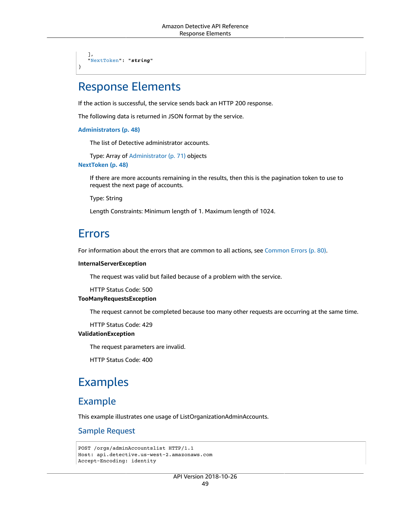], ["NextToken](#page-54-1)": "*string*"

}

### Response Elements

If the action is successful, the service sends back an HTTP 200 response.

The following data is returned in JSON format by the service.

<span id="page-54-0"></span>**[Administrators \(p. 48\)](#page-53-3)**

The list of Detective administrator accounts.

Type: Array of [Administrator \(p. 71\)](#page-76-3) objects

<span id="page-54-1"></span>**[NextToken \(p. 48\)](#page-53-3)**

If there are more accounts remaining in the results, then this is the pagination token to use to request the next page of accounts.

Type: String

Length Constraints: Minimum length of 1. Maximum length of 1024.

### Errors

For information about the errors that are common to all actions, see [Common](#page-85-0) Error[s \(p. 80\).](#page-85-0)

#### **InternalServerException**

The request was valid but failed because of a problem with the service.

HTTP Status Code: 500

#### **TooManyRequestsException**

The request cannot be completed because too many other requests are occurring at the same time.

HTTP Status Code: 429

#### **ValidationException**

The request parameters are invalid.

HTTP Status Code: 400

## Examples

### Example

This example illustrates one usage of ListOrganizationAdminAccounts.

#### Sample Request

```
POST /orgs/adminAccountslist HTTP/1.1
Host: api.detective.us-west-2.amazonaws.com
Accept-Encoding: identity
```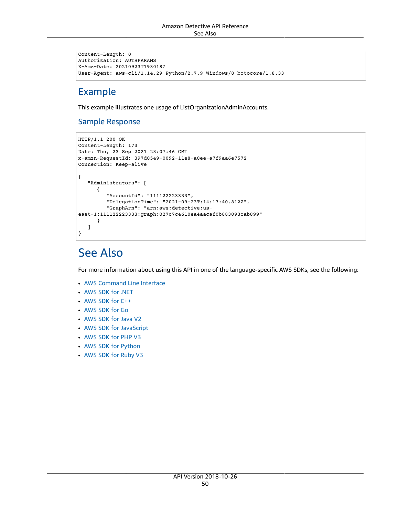```
Content-Length: 0
Authorization: AUTHPARAMS
X-Amz-Date: 20210923T193018Z
User-Agent: aws-cli/1.14.29 Python/2.7.9 Windows/8 botocore/1.8.33
```
### Example

This example illustrates one usage of ListOrganizationAdminAccounts.

#### Sample Response

```
HTTP/1.1 200 OK
Content-Length: 173
Date: Thu, 23 Sep 2021 23:07:46 GMT
x-amzn-RequestId: 397d0549-0092-11e8-a0ee-a7f9aa6e7572
Connection: Keep-alive
{
    "Administrators": [ 
       { 
          "AccountId": "111122223333",
          "DelegationTime": "2021-09-23T:14:17:40.812Z",
          "GraphArn": "arn:aws:detective:us-
east-1:111122223333:graph:027c7c4610ea4aacaf0b883093cab899"
       }
    ]
}
```
## See Also

- AWS [Command](https://docs.aws.amazon.com/goto/aws-cli/detective-2018-10-26/ListOrganizationAdminAccounts) Line Interface
- [AWS](https://docs.aws.amazon.com/goto/DotNetSDKV3/detective-2018-10-26/ListOrganizationAdminAccounts) SDK for .NET
- [AWS](https://docs.aws.amazon.com/goto/SdkForCpp/detective-2018-10-26/ListOrganizationAdminAccounts) SDK for C++
- [AWS](https://docs.aws.amazon.com/goto/SdkForGoV1/detective-2018-10-26/ListOrganizationAdminAccounts) SDK for Go
- [AWS](https://docs.aws.amazon.com/goto/SdkForJavaV2/detective-2018-10-26/ListOrganizationAdminAccounts) SDK for Java V2
- AWS SDK for [JavaScript](https://docs.aws.amazon.com/goto/AWSJavaScriptSDK/detective-2018-10-26/ListOrganizationAdminAccounts)
- [AWS](https://docs.aws.amazon.com/goto/SdkForPHPV3/detective-2018-10-26/ListOrganizationAdminAccounts) SDK for PHP V3
- AWS SDK for [Python](https://docs.aws.amazon.com/goto/boto3/detective-2018-10-26/ListOrganizationAdminAccounts)
- AWS SDK for [Ruby](https://docs.aws.amazon.com/goto/SdkForRubyV3/detective-2018-10-26/ListOrganizationAdminAccounts) V3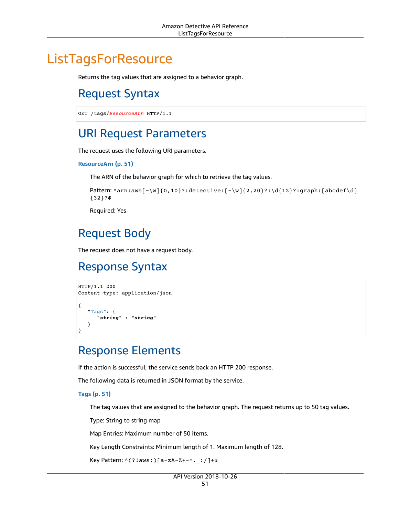# <span id="page-56-0"></span>**ListTagsForResource**

Returns the tag values that are assigned to a behavior graph.

## Request Syntax

GET /tags/*ResourceArn* HTTP/1.1

### URI Request Parameters

The request uses the following URI parameters.

#### **[ResourceArn \(p. 51\)](#page-56-0)**

The ARN of the behavior graph for which to retrieve the tag values.

```
Pattern: ^arn:aws[-\w]{0,10}?:detective:[-\w]{2,20}?:\d{12}?:graph:[abcdef\d]
{32}?$
```
Required: Yes

# Request Body

The request does not have a request body.

## <span id="page-56-2"></span>Response Syntax

```
HTTP/1.1 200
Content-type: application/json
{
    "Tags": { 
       "string" : "string" 
    }
}
```
## Response Elements

If the action is successful, the service sends back an HTTP 200 response.

The following data is returned in JSON format by the service.

#### <span id="page-56-1"></span>**[Tags \(p. 51\)](#page-56-2)**

The tag values that are assigned to the behavior graph. The request returns up to 50 tag values.

Type: String to string map

Map Entries: Maximum number of 50 items.

Key Length Constraints: Minimum length of 1. Maximum length of 128.

```
Key Pattern: ^(?!aws:)[a-zA-Z+-=._:/]+$
```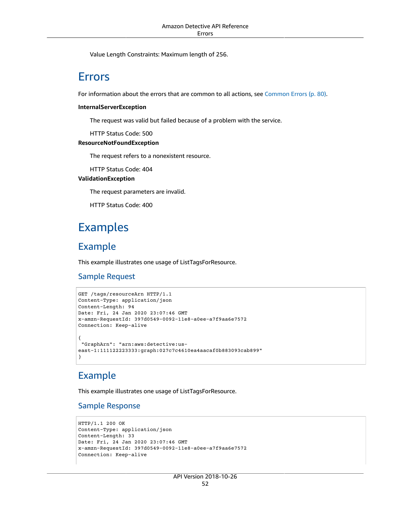Value Length Constraints: Maximum length of 256.

### Errors

For information about the errors that are common to all actions, see [Common](#page-85-0) Error[s \(p. 80\).](#page-85-0)

#### **InternalServerException**

The request was valid but failed because of a problem with the service.

HTTP Status Code: 500

#### **ResourceNotFoundException**

The request refers to a nonexistent resource.

HTTP Status Code: 404

#### **ValidationException**

The request parameters are invalid.

HTTP Status Code: 400

## Examples

### Example

This example illustrates one usage of ListTagsForResource.

#### Sample Request

```
GET /tags/resourceArn HTTP/1.1
Content-Type: application/json
Content-Length: 94
Date: Fri, 24 Jan 2020 23:07:46 GMT
x-amzn-RequestId: 397d0549-0092-11e8-a0ee-a7f9aa6e7572
Connection: Keep-alive
{
  "GraphArn": "arn:aws:detective:us-
east-1:111122223333:graph:027c7c4610ea4aacaf0b883093cab899"
}
```
### Example

This example illustrates one usage of ListTagsForResource.

#### Sample Response

```
HTTP/1.1 200 OK
Content-Type: application/json
Content-Length: 33
Date: Fri, 24 Jan 2020 23:07:46 GMT
x-amzn-RequestId: 397d0549-0092-11e8-a0ee-a7f9aa6e7572
Connection: Keep-alive
```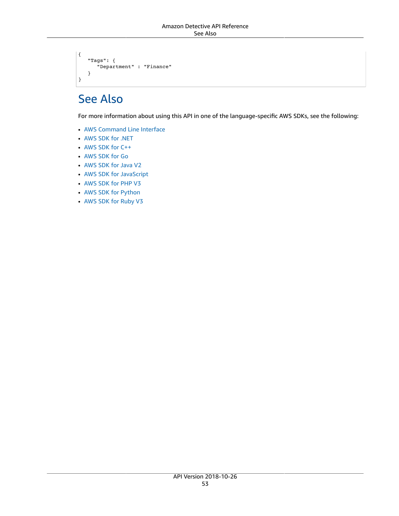```
{
    "Tags": { 
        "Department" : "Finance" 
    }
}
```
# See Also

- AWS [Command](https://docs.aws.amazon.com/goto/aws-cli/detective-2018-10-26/ListTagsForResource) Line Interface
- [AWS](https://docs.aws.amazon.com/goto/DotNetSDKV3/detective-2018-10-26/ListTagsForResource) SDK for .NET
- [AWS](https://docs.aws.amazon.com/goto/SdkForCpp/detective-2018-10-26/ListTagsForResource) SDK for C++
- [AWS](https://docs.aws.amazon.com/goto/SdkForGoV1/detective-2018-10-26/ListTagsForResource) SDK for Go
- [AWS](https://docs.aws.amazon.com/goto/SdkForJavaV2/detective-2018-10-26/ListTagsForResource) SDK for Java V2
- AWS SDK for [JavaScript](https://docs.aws.amazon.com/goto/AWSJavaScriptSDK/detective-2018-10-26/ListTagsForResource)
- [AWS](https://docs.aws.amazon.com/goto/SdkForPHPV3/detective-2018-10-26/ListTagsForResource) SDK for PHP V3
- AWS SDK for [Python](https://docs.aws.amazon.com/goto/boto3/detective-2018-10-26/ListTagsForResource)
- AWS SDK for [Ruby](https://docs.aws.amazon.com/goto/SdkForRubyV3/detective-2018-10-26/ListTagsForResource) V3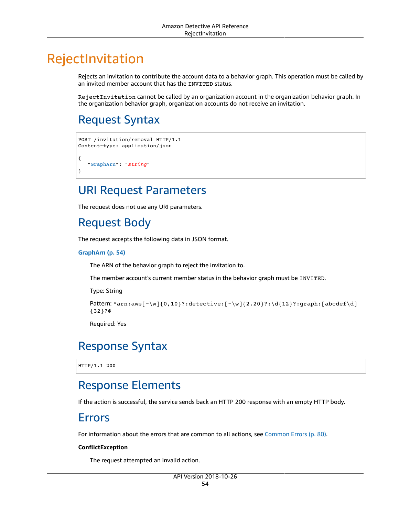# RejectInvitation

Rejects an invitation to contribute the account data to a behavior graph. This operation must be called by an invited member account that has the INVITED status.

RejectInvitation cannot be called by an organization account in the organization behavior graph. In the organization behavior graph, organization accounts do not receive an invitation.

# <span id="page-59-1"></span>Request Syntax

```
POST /invitation/removal HTTP/1.1
Content-type: application/json
{
    "GraphArn": "string"
}
```
## URI Request Parameters

The request does not use any URI parameters.

## Request Body

The request accepts the following data in JSON format.

#### <span id="page-59-0"></span>**[GraphArn \(p. 54\)](#page-59-1)**

The ARN of the behavior graph to reject the invitation to.

The member account's current member status in the behavior graph must be INVITED.

Type: String

```
Pattern: ^arn:aws[-\w]{0,10}?:detective:[-\w]{2,20}?:\d{12}?:graph:[abcdef\d]
{32}?$
```
Required: Yes

## Response Syntax

HTTP/1.1 200

## Response Elements

If the action is successful, the service sends back an HTTP 200 response with an empty HTTP body.

### Errors

For information about the errors that are common to all actions, see [Common](#page-85-0) Error[s \(p. 80\).](#page-85-0)

#### **ConflictException**

The request attempted an invalid action.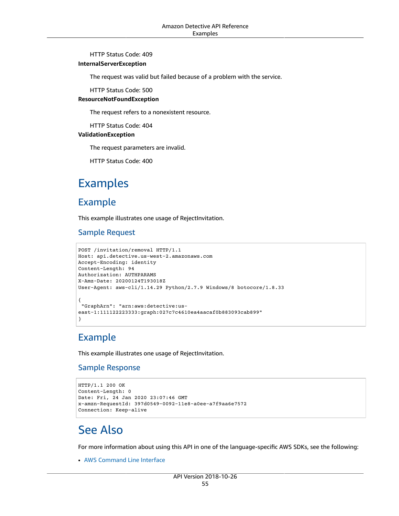#### HTTP Status Code: 409

#### **InternalServerException**

The request was valid but failed because of a problem with the service.

HTTP Status Code: 500

#### **ResourceNotFoundException**

The request refers to a nonexistent resource.

HTTP Status Code: 404

#### **ValidationException**

The request parameters are invalid.

HTTP Status Code: 400

## Examples

### Example

This example illustrates one usage of RejectInvitation.

#### Sample Request

```
POST /invitation/removal HTTP/1.1
Host: api.detective.us-west-2.amazonaws.com
Accept-Encoding: identity
Content-Length: 94
Authorization: AUTHPARAMS
X-Amz-Date: 20200124T193018Z
User-Agent: aws-cli/1.14.29 Python/2.7.9 Windows/8 botocore/1.8.33
{
  "GraphArn": "arn:aws:detective:us-
east-1:111122223333:graph:027c7c4610ea4aacaf0b883093cab899"
}
```
### Example

This example illustrates one usage of RejectInvitation.

#### Sample Response

```
HTTP/1.1 200 OK
Content-Length: 0
Date: Fri, 24 Jan 2020 23:07:46 GMT
x-amzn-RequestId: 397d0549-0092-11e8-a0ee-a7f9aa6e7572
Connection: Keep-alive
```
## See Also

For more information about using this API in one of the language-specific AWS SDKs, see the following:

• AWS [Command](https://docs.aws.amazon.com/goto/aws-cli/detective-2018-10-26/RejectInvitation) Line Interface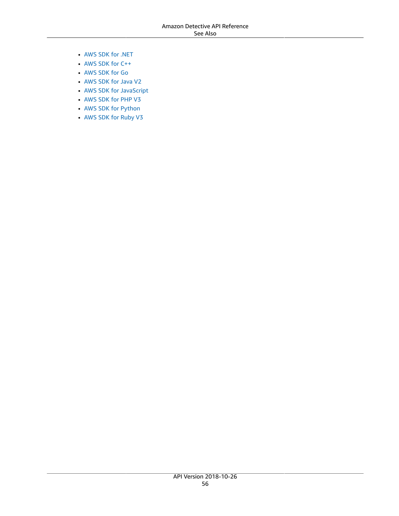- [AWS](https://docs.aws.amazon.com/goto/DotNetSDKV3/detective-2018-10-26/RejectInvitation) SDK for .NET
- [AWS](https://docs.aws.amazon.com/goto/SdkForCpp/detective-2018-10-26/RejectInvitation) SDK for C++
- [AWS](https://docs.aws.amazon.com/goto/SdkForGoV1/detective-2018-10-26/RejectInvitation) SDK for Go
- [AWS](https://docs.aws.amazon.com/goto/SdkForJavaV2/detective-2018-10-26/RejectInvitation) SDK for Java V2
- AWS SDK for [JavaScript](https://docs.aws.amazon.com/goto/AWSJavaScriptSDK/detective-2018-10-26/RejectInvitation)
- [AWS](https://docs.aws.amazon.com/goto/SdkForPHPV3/detective-2018-10-26/RejectInvitation) SDK for PHP V3
- AWS SDK for [Python](https://docs.aws.amazon.com/goto/boto3/detective-2018-10-26/RejectInvitation)
- AWS SDK for [Ruby](https://docs.aws.amazon.com/goto/SdkForRubyV3/detective-2018-10-26/RejectInvitation) V3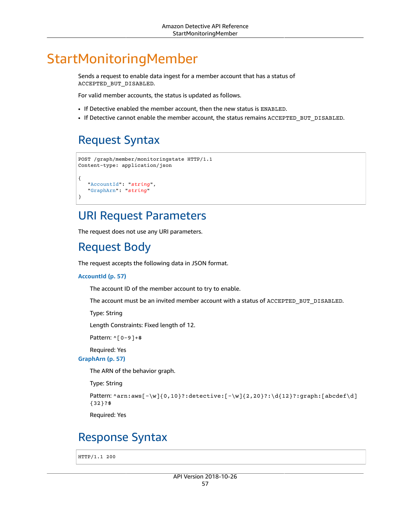# StartMonitoringMember

Sends a request to enable data ingest for a member account that has a status of ACCEPTED\_BUT\_DISABLED.

For valid member accounts, the status is updated as follows.

- If Detective enabled the member account, then the new status is ENABLED.
- If Detective cannot enable the member account, the status remains ACCEPTED\_BUT\_DISABLED.

## <span id="page-62-2"></span>Request Syntax

```
POST /graph/member/monitoringstate HTTP/1.1
Content-type: application/json
{
    "AccountId": "string",
    "GraphArn": "string"
}
```
### URI Request Parameters

The request does not use any URI parameters.

## Request Body

The request accepts the following data in JSON format.

#### <span id="page-62-0"></span>**[AccountId \(p. 57\)](#page-62-2)**

The account ID of the member account to try to enable.

The account must be an invited member account with a status of ACCEPTED\_BUT\_DISABLED.

Type: String

Length Constraints: Fixed length of 12.

```
Pattern: ^[0-9]+$
```
Required: Yes

<span id="page-62-1"></span>**[GraphArn \(p. 57\)](#page-62-2)**

The ARN of the behavior graph.

Type: String

```
Pattern: ^arn:aws[-\w]{0,10}?:detective:[-\w]{2,20}?:\d{12}?:graph:[abcdef\d]
{32}?$
```
Required: Yes

### Response Syntax

HTTP/1.1 200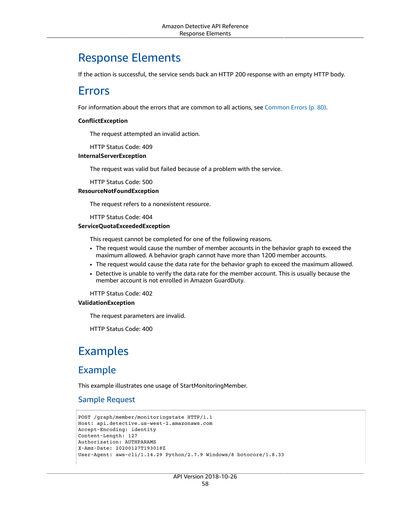### Response Elements

If the action is successful, the service sends back an HTTP 200 response with an empty HTTP body.

### Errors

For information about the errors that are common to all actions, see [Common](#page-85-0) Error[s \(p. 80\).](#page-85-0)

#### **ConflictException**

The request attempted an invalid action.

HTTP Status Code: 409

#### **InternalServerException**

The request was valid but failed because of a problem with the service.

HTTP Status Code: 500

#### **ResourceNotFoundException**

The request refers to a nonexistent resource.

HTTP Status Code: 404

#### **ServiceQuotaExceededException**

This request cannot be completed for one of the following reasons.

- The request would cause the number of member accounts in the behavior graph to exceed the maximum allowed. A behavior graph cannot have more than 1200 member accounts.
- The request would cause the data rate for the behavior graph to exceed the maximum allowed.
- Detective is unable to verify the data rate for the member account. This is usually because the member account is not enrolled in Amazon GuardDuty.

HTTP Status Code: 402

#### **ValidationException**

The request parameters are invalid.

HTTP Status Code: 400

## Examples

### Example

This example illustrates one usage of StartMonitoringMember.

#### Sample Request

```
POST /graph/member/monitoringstate HTTP/1.1
Host: api.detective.us-west-2.amazonaws.com
Accept-Encoding: identity
Content-Length: 127
Authorization: AUTHPARAMS
X-Amz-Date: 20200127T193018Z
User-Agent: aws-cli/1.14.29 Python/2.7.9 Windows/8 botocore/1.8.33
```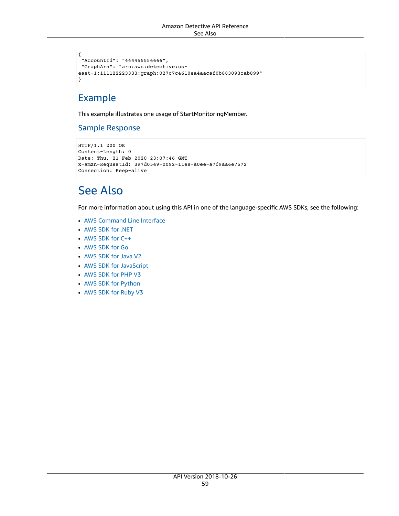```
{
  "AccountId": "444455556666",
 "GraphArn": "arn:aws:detective:us-
east-1:111122223333:graph:027c7c4610ea4aacaf0b883093cab899"
}
```
### Example

This example illustrates one usage of StartMonitoringMember.

#### Sample Response

```
HTTP/1.1 200 OK
Content-Length: 0
Date: Thu, 21 Feb 2020 23:07:46 GMT
x-amzn-RequestId: 397d0549-0092-11e8-a0ee-a7f9aa6e7572
Connection: Keep-alive
```
# See Also

- AWS [Command](https://docs.aws.amazon.com/goto/aws-cli/detective-2018-10-26/StartMonitoringMember) Line Interface
- [AWS](https://docs.aws.amazon.com/goto/DotNetSDKV3/detective-2018-10-26/StartMonitoringMember) SDK for .NET
- [AWS](https://docs.aws.amazon.com/goto/SdkForCpp/detective-2018-10-26/StartMonitoringMember) SDK for C++
- [AWS](https://docs.aws.amazon.com/goto/SdkForGoV1/detective-2018-10-26/StartMonitoringMember) SDK for Go
- [AWS](https://docs.aws.amazon.com/goto/SdkForJavaV2/detective-2018-10-26/StartMonitoringMember) SDK for Java V2
- AWS SDK for [JavaScript](https://docs.aws.amazon.com/goto/AWSJavaScriptSDK/detective-2018-10-26/StartMonitoringMember)
- [AWS](https://docs.aws.amazon.com/goto/SdkForPHPV3/detective-2018-10-26/StartMonitoringMember) SDK for PHP V3
- AWS SDK for [Python](https://docs.aws.amazon.com/goto/boto3/detective-2018-10-26/StartMonitoringMember)
- AWS SDK for [Ruby](https://docs.aws.amazon.com/goto/SdkForRubyV3/detective-2018-10-26/StartMonitoringMember) V3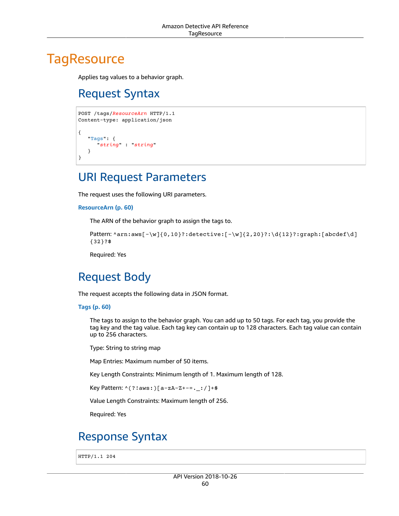# <span id="page-65-1"></span>**TagResource**

Applies tag values to a behavior graph.

# Request Syntax

```
POST /tags/ResourceArn HTTP/1.1
Content-type: application/json
{
    "Tags": { 
       "string" : "string" 
    }
}
```
## URI Request Parameters

The request uses the following URI parameters.

```
ResourceArn (p. 60)
```
The ARN of the behavior graph to assign the tags to.

```
Pattern: \arctan: \arcsin(-\w}{0,10}?: detective:[-\w]{2,20}?: \d{12}?: graph:[abcdef\d]
{32}?$
```
Required: Yes

# Request Body

The request accepts the following data in JSON format.

#### <span id="page-65-0"></span>**[Tags \(p. 60\)](#page-65-1)**

The tags to assign to the behavior graph. You can add up to 50 tags. For each tag, you provide the tag key and the tag value. Each tag key can contain up to 128 characters. Each tag value can contain up to 256 characters.

Type: String to string map

Map Entries: Maximum number of 50 items.

Key Length Constraints: Minimum length of 1. Maximum length of 128.

Key Pattern: ^(?!aws:)[a-zA-Z+-=.\_:/]+\$

Value Length Constraints: Maximum length of 256.

Required: Yes

## Response Syntax

HTTP/1.1 204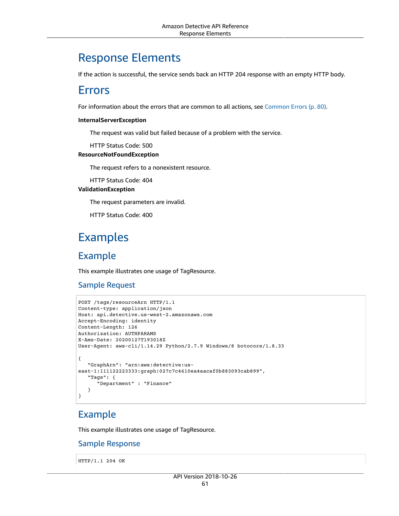## Response Elements

If the action is successful, the service sends back an HTTP 204 response with an empty HTTP body.

### Errors

For information about the errors that are common to all actions, see [Common](#page-85-0) Error[s \(p. 80\).](#page-85-0)

#### **InternalServerException**

The request was valid but failed because of a problem with the service.

HTTP Status Code: 500

#### **ResourceNotFoundException**

The request refers to a nonexistent resource.

HTTP Status Code: 404

#### **ValidationException**

The request parameters are invalid.

HTTP Status Code: 400

## Examples

### Example

This example illustrates one usage of TagResource.

#### Sample Request

```
POST /tags/resourceArn HTTP/1.1
Content-type: application/json
Host: api.detective.us-west-2.amazonaws.com
Accept-Encoding: identity
Content-Length: 126
Authorization: AUTHPARAMS
X-Amz-Date: 20200127T193018Z
User-Agent: aws-cli/1.14.29 Python/2.7.9 Windows/8 botocore/1.8.33
{
    "GraphArn": "arn:aws:detective:us-
east-1:111122223333:graph:027c7c4610ea4aacaf0b883093cab899",
    "Tags": { 
       "Department" : "Finance" 
    }
}
```
### Example

This example illustrates one usage of TagResource.

#### Sample Response

HTTP/1.1 204 OK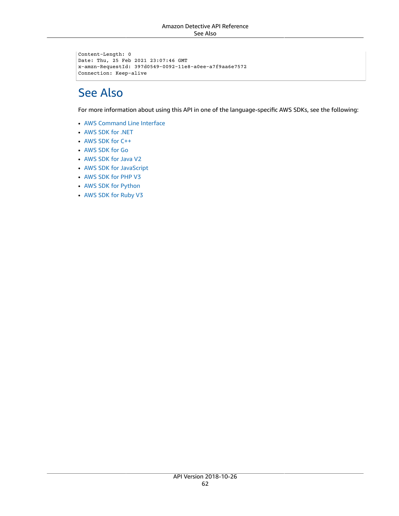```
Content-Length: 0
Date: Thu, 25 Feb 2021 23:07:46 GMT
x-amzn-RequestId: 397d0549-0092-11e8-a0ee-a7f9aa6e7572
Connection: Keep-alive
```
# See Also

- AWS [Command](https://docs.aws.amazon.com/goto/aws-cli/detective-2018-10-26/TagResource) Line Interface
- [AWS](https://docs.aws.amazon.com/goto/DotNetSDKV3/detective-2018-10-26/TagResource) SDK for .NET
- [AWS](https://docs.aws.amazon.com/goto/SdkForCpp/detective-2018-10-26/TagResource) SDK for C++
- [AWS](https://docs.aws.amazon.com/goto/SdkForGoV1/detective-2018-10-26/TagResource) SDK for Go
- [AWS](https://docs.aws.amazon.com/goto/SdkForJavaV2/detective-2018-10-26/TagResource) SDK for Java V2
- AWS SDK for [JavaScript](https://docs.aws.amazon.com/goto/AWSJavaScriptSDK/detective-2018-10-26/TagResource)
- [AWS](https://docs.aws.amazon.com/goto/SdkForPHPV3/detective-2018-10-26/TagResource) SDK for PHP V3
- AWS SDK for [Python](https://docs.aws.amazon.com/goto/boto3/detective-2018-10-26/TagResource)
- AWS SDK for [Ruby](https://docs.aws.amazon.com/goto/SdkForRubyV3/detective-2018-10-26/TagResource) V3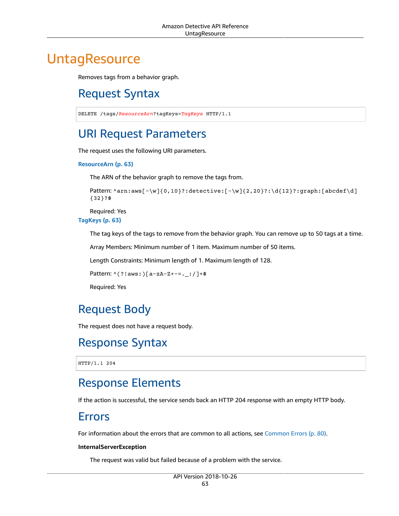# <span id="page-68-0"></span>**UntagResource**

Removes tags from a behavior graph.

# Request Syntax

DELETE /tags/*ResourceArn*?tagKeys=*TagKeys* HTTP/1.1

## URI Request Parameters

The request uses the following URI parameters.

#### **[ResourceArn \(p. 63\)](#page-68-0)**

The ARN of the behavior graph to remove the tags from.

```
Pattern: ^arn:aws[-\w]{0,10}?:detective:[-\w]{2,20}?:\d{12}?:graph:[abcdef\d]
{32}?$
```
Required: Yes

**[TagKeys \(p. 63\)](#page-68-0)**

The tag keys of the tags to remove from the behavior graph. You can remove up to 50 tags at a time.

Array Members: Minimum number of 1 item. Maximum number of 50 items.

Length Constraints: Minimum length of 1. Maximum length of 128.

```
Pattern: ^(?!aws:)[a-zA-Z+-=._:/]+$
```
Required: Yes

## Request Body

The request does not have a request body.

### Response Syntax

HTTP/1.1 204

## Response Elements

If the action is successful, the service sends back an HTTP 204 response with an empty HTTP body.

### Errors

For information about the errors that are common to all actions, see [Common](#page-85-0) Errors ( $p. 80$ ).

#### **InternalServerException**

The request was valid but failed because of a problem with the service.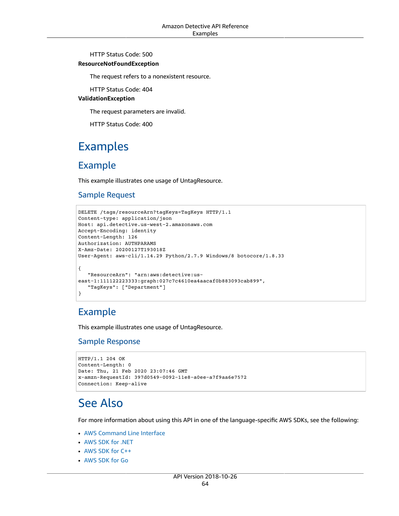HTTP Status Code: 500

#### **ResourceNotFoundException**

The request refers to a nonexistent resource.

HTTP Status Code: 404

#### **ValidationException**

The request parameters are invalid.

HTTP Status Code: 400

### Examples

### Example

This example illustrates one usage of UntagResource.

#### Sample Request

```
DELETE /tags/resourceArn?tagKeys=TagKeys HTTP/1.1
Content-type: application/json
Host: api.detective.us-west-2.amazonaws.com
Accept-Encoding: identity
Content-Length: 126
Authorization: AUTHPARAMS
X-Amz-Date: 20200127T193018Z
User-Agent: aws-cli/1.14.29 Python/2.7.9 Windows/8 botocore/1.8.33
{
    "ResourceArn": "arn:aws:detective:us-
east-1:111122223333:graph:027c7c4610ea4aacaf0b883093cab899",
    "TagKeys": ["Department"]
}
```
### Example

This example illustrates one usage of UntagResource.

#### Sample Response

```
HTTP/1.1 204 OK
Content-Length: 0
Date: Thu, 21 Feb 2020 23:07:46 GMT
x-amzn-RequestId: 397d0549-0092-11e8-a0ee-a7f9aa6e7572
Connection: Keep-alive
```
### See Also

- AWS [Command](https://docs.aws.amazon.com/goto/aws-cli/detective-2018-10-26/UntagResource) Line Interface
- [AWS](https://docs.aws.amazon.com/goto/DotNetSDKV3/detective-2018-10-26/UntagResource) SDK for .NET
- [AWS](https://docs.aws.amazon.com/goto/SdkForCpp/detective-2018-10-26/UntagResource) SDK for C++
- [AWS](https://docs.aws.amazon.com/goto/SdkForGoV1/detective-2018-10-26/UntagResource) SDK for Go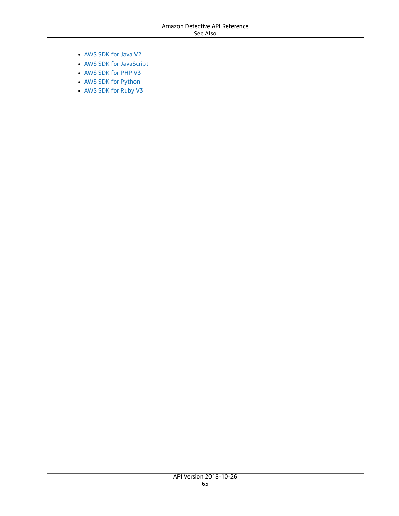- [AWS](https://docs.aws.amazon.com/goto/SdkForJavaV2/detective-2018-10-26/UntagResource) SDK for Java V2
- AWS SDK for [JavaScript](https://docs.aws.amazon.com/goto/AWSJavaScriptSDK/detective-2018-10-26/UntagResource)
- [AWS](https://docs.aws.amazon.com/goto/SdkForPHPV3/detective-2018-10-26/UntagResource) SDK for PHP V3
- AWS SDK for [Python](https://docs.aws.amazon.com/goto/boto3/detective-2018-10-26/UntagResource)
- AWS SDK for [Ruby](https://docs.aws.amazon.com/goto/SdkForRubyV3/detective-2018-10-26/UntagResource) V3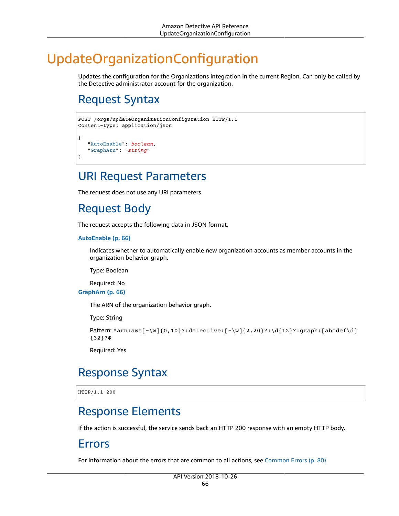# UpdateOrganizationConfiguration

Updates the configuration for the Organizations integration in the current Region. Can only be called by the Detective administrator account for the organization.

# <span id="page-71-2"></span>Request Syntax

```
POST /orgs/updateOrganizationConfiguration HTTP/1.1
Content-type: application/json
{
    "AutoEnable": boolean,
    "GraphArn": "string"
}
```
### URI Request Parameters

The request does not use any URI parameters.

## Request Body

The request accepts the following data in JSON format.

#### <span id="page-71-0"></span>**[AutoEnable \(p. 66\)](#page-71-2)**

Indicates whether to automatically enable new organization accounts as member accounts in the organization behavior graph.

Type: Boolean

Required: No

<span id="page-71-1"></span>**[GraphArn \(p. 66\)](#page-71-2)**

The ARN of the organization behavior graph.

Type: String

```
Pattern: \arctan: \arcsin(-\w}{0,10}?: detective:[-\w]{2,20}?: \d{12}?: graph:[abcdef\d]
{32}?$
```
Required: Yes

## Response Syntax

HTTP/1.1 200

## Response Elements

If the action is successful, the service sends back an HTTP 200 response with an empty HTTP body.

### Errors

For information about the errors that are common to all actions, see [Common](#page-85-0) Error[s \(p. 80\).](#page-85-0)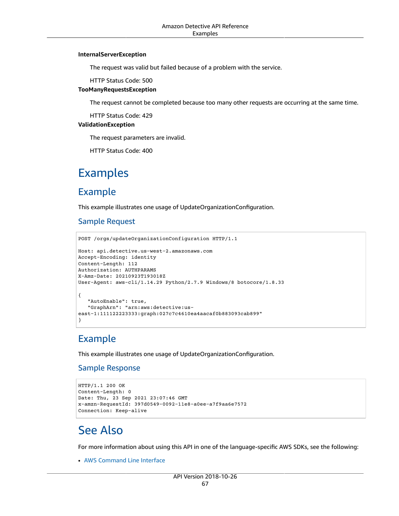#### **InternalServerException**

The request was valid but failed because of a problem with the service.

HTTP Status Code: 500

#### **TooManyRequestsException**

The request cannot be completed because too many other requests are occurring at the same time.

HTTP Status Code: 429

#### **ValidationException**

The request parameters are invalid.

HTTP Status Code: 400

## Examples

### Example

This example illustrates one usage of UpdateOrganizationConfiguration.

### Sample Request

```
POST /orgs/updateOrganizationConfiguration HTTP/1.1
Host: api.detective.us-west-2.amazonaws.com
Accept-Encoding: identity
Content-Length: 112
Authorization: AUTHPARAMS
X-Amz-Date: 20210923T193018Z
User-Agent: aws-cli/1.14.29 Python/2.7.9 Windows/8 botocore/1.8.33
{
    "AutoEnable": true,
    "GraphArn": "arn:aws:detective:us-
east-1:111122223333:graph:027c7c4610ea4aacaf0b883093cab899"
}
```
### Example

This example illustrates one usage of UpdateOrganizationConfiguration.

### Sample Response

```
HTTP/1.1 200 OK
Content-Length: 0
Date: Thu, 23 Sep 2021 23:07:46 GMT
x-amzn-RequestId: 397d0549-0092-11e8-a0ee-a7f9aa6e7572
Connection: Keep-alive
```
### See Also

For more information about using this API in one of the language-specific AWS SDKs, see the following:

• AWS [Command](https://docs.aws.amazon.com/goto/aws-cli/detective-2018-10-26/UpdateOrganizationConfiguration) Line Interface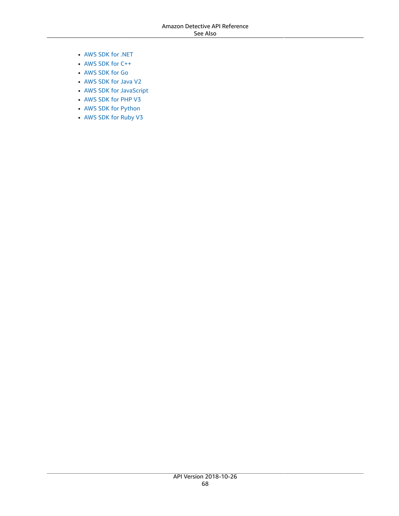- [AWS](https://docs.aws.amazon.com/goto/DotNetSDKV3/detective-2018-10-26/UpdateOrganizationConfiguration) SDK for .NET
- [AWS](https://docs.aws.amazon.com/goto/SdkForCpp/detective-2018-10-26/UpdateOrganizationConfiguration) SDK for C++
- [AWS](https://docs.aws.amazon.com/goto/SdkForGoV1/detective-2018-10-26/UpdateOrganizationConfiguration) SDK for Go
- [AWS](https://docs.aws.amazon.com/goto/SdkForJavaV2/detective-2018-10-26/UpdateOrganizationConfiguration) SDK for Java V2
- AWS SDK for [JavaScript](https://docs.aws.amazon.com/goto/AWSJavaScriptSDK/detective-2018-10-26/UpdateOrganizationConfiguration)
- [AWS](https://docs.aws.amazon.com/goto/SdkForPHPV3/detective-2018-10-26/UpdateOrganizationConfiguration) SDK for PHP V3
- AWS SDK for [Python](https://docs.aws.amazon.com/goto/boto3/detective-2018-10-26/UpdateOrganizationConfiguration)
- AWS SDK for [Ruby](https://docs.aws.amazon.com/goto/SdkForRubyV3/detective-2018-10-26/UpdateOrganizationConfiguration) V3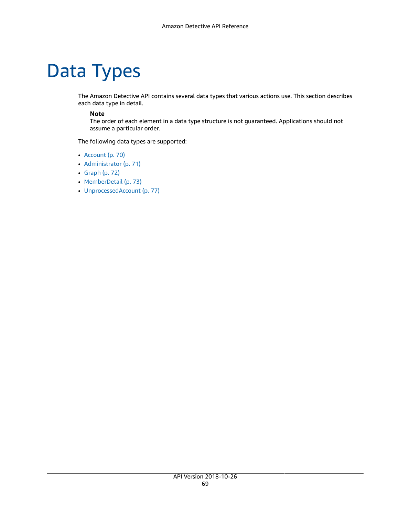# Data Types

The Amazon Detective API contains several data types that various actions use. This section describes each data type in detail.

#### **Note**

The order of each element in a data type structure is not guaranteed. Applications should not assume a particular order.

The following data types are supported:

- [Account \(p. 70\)](#page-75-0)
- [Administrator \(p. 71\)](#page-76-0)
- [Graph \(p. 72\)](#page-77-0)
- [MemberDetail \(p. 73\)](#page-78-0)
- [UnprocessedAccount \(p. 77\)](#page-82-0)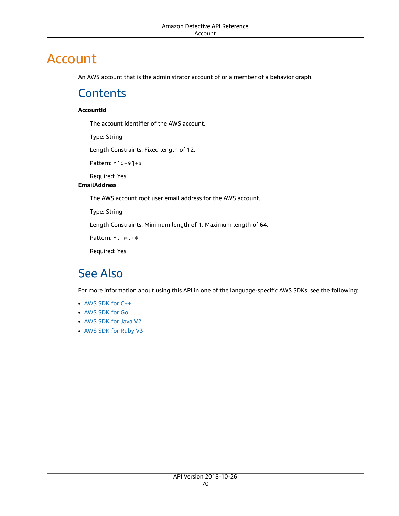# <span id="page-75-0"></span>Account

An AWS account that is the administrator account of or a member of a behavior graph.

### **Contents**

#### **AccountId**

The account identifier of the AWS account.

Type: String

Length Constraints: Fixed length of 12.

Pattern: ^[0-9]+\$

Required: Yes

### **EmailAddress**

The AWS account root user email address for the AWS account.

Type: String

Length Constraints: Minimum length of 1. Maximum length of 64.

Pattern: ^.+@.+\$

Required: Yes

### See Also

- [AWS](https://docs.aws.amazon.com/goto/SdkForCpp/detective-2018-10-26/Account) SDK for C++
- [AWS](https://docs.aws.amazon.com/goto/SdkForGoV1/detective-2018-10-26/Account) SDK for Go
- [AWS](https://docs.aws.amazon.com/goto/SdkForJavaV2/detective-2018-10-26/Account) SDK for Java V2
- AWS SDK for [Ruby](https://docs.aws.amazon.com/goto/SdkForRubyV3/detective-2018-10-26/Account) V3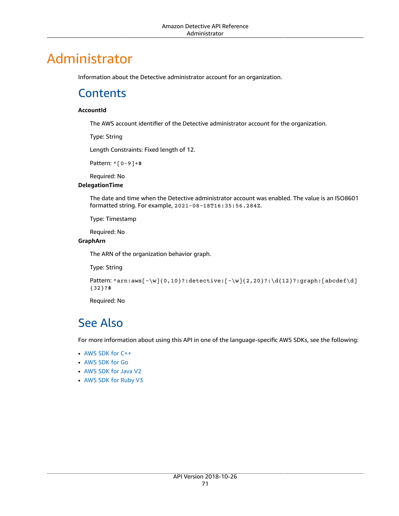# <span id="page-76-0"></span>Administrator

Information about the Detective administrator account for an organization.

### **Contents**

#### **AccountId**

The AWS account identifier of the Detective administrator account for the organization.

Type: String

Length Constraints: Fixed length of 12.

Pattern: ^[0-9]+\$

Required: No

### **DelegationTime**

The date and time when the Detective administrator account was enabled. The value is an ISO8601 formatted string. For example, 2021-08-18T16:35:56.284Z.

Type: Timestamp

Required: No

#### **GraphArn**

The ARN of the organization behavior graph.

Type: String

```
Pattern: ^arn:aws[-\w]{0,10}?:detective:[-\w]{2,20}?:\d{12}?:graph:[abcdef\d]
{32}?$
```
Required: No

# See Also

- [AWS](https://docs.aws.amazon.com/goto/SdkForCpp/detective-2018-10-26/Administrator) SDK for C++
- [AWS](https://docs.aws.amazon.com/goto/SdkForGoV1/detective-2018-10-26/Administrator) SDK for Go
- [AWS](https://docs.aws.amazon.com/goto/SdkForJavaV2/detective-2018-10-26/Administrator) SDK for Java V2
- AWS SDK for [Ruby](https://docs.aws.amazon.com/goto/SdkForRubyV3/detective-2018-10-26/Administrator) V3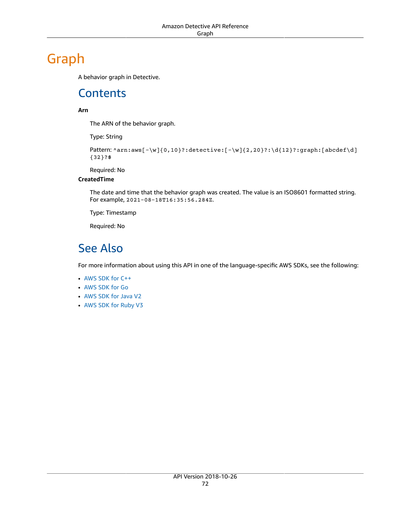# <span id="page-77-0"></span>Graph

A behavior graph in Detective.

# **Contents**

### **Arn**

The ARN of the behavior graph.

Type: String

```
Pattern: ^arn:aws[-\w]{0,10}?:detective:[-\w]{2,20}?:\d{12}?:graph:[abcdef\d]
{32}?$
```
Required: No

### **CreatedTime**

The date and time that the behavior graph was created. The value is an ISO8601 formatted string. For example, 2021-08-18T16:35:56.284Z.

Type: Timestamp

Required: No

## See Also

- [AWS](https://docs.aws.amazon.com/goto/SdkForCpp/detective-2018-10-26/Graph) SDK for C++
- [AWS](https://docs.aws.amazon.com/goto/SdkForGoV1/detective-2018-10-26/Graph) SDK for Go
- [AWS](https://docs.aws.amazon.com/goto/SdkForJavaV2/detective-2018-10-26/Graph) SDK for Java V2
- AWS SDK for [Ruby](https://docs.aws.amazon.com/goto/SdkForRubyV3/detective-2018-10-26/Graph) V3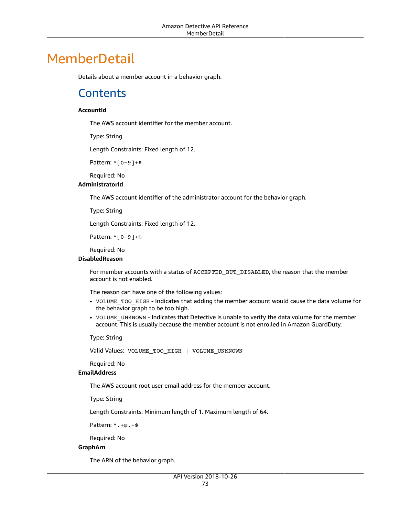# <span id="page-78-0"></span>**MemberDetail**

Details about a member account in a behavior graph.

### **Contents**

#### **AccountId**

The AWS account identifier for the member account.

Type: String

Length Constraints: Fixed length of 12.

Pattern: ^[0-9]+\$

Required: No

#### **AdministratorId**

The AWS account identifier of the administrator account for the behavior graph.

Type: String

Length Constraints: Fixed length of 12.

Pattern: ^[0-9]+\$

Required: No

#### **DisabledReason**

For member accounts with a status of ACCEPTED\_BUT\_DISABLED, the reason that the member account is not enabled.

The reason can have one of the following values:

- VOLUME\_TOO\_HIGH Indicates that adding the member account would cause the data volume for the behavior graph to be too high.
- VOLUME\_UNKNOWN Indicates that Detective is unable to verify the data volume for the member account. This is usually because the member account is not enrolled in Amazon GuardDuty.

Type: String

Valid Values: VOLUME\_TOO\_HIGH | VOLUME\_UNKNOWN

Required: No

#### **EmailAddress**

The AWS account root user email address for the member account.

Type: String

Length Constraints: Minimum length of 1. Maximum length of 64.

Pattern: ^.+@.+\$

Required: No

#### **GraphArn**

The ARN of the behavior graph.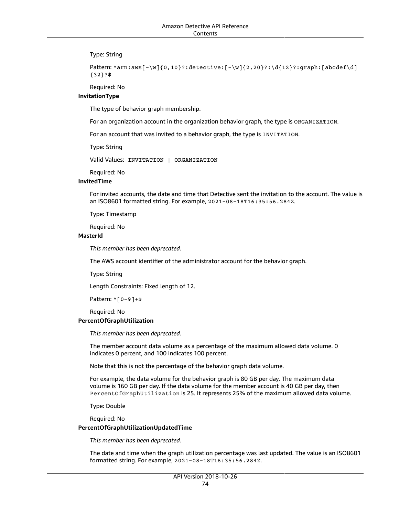Type: String

```
Pattern: ^arn:aws[-\w]{0,10}?:detective:[-\w]{2,20}?:\d{12}?:graph:[abcdef\d]
{32}?$
```
Required: No

#### **InvitationType**

The type of behavior graph membership.

For an organization account in the organization behavior graph, the type is ORGANIZATION.

For an account that was invited to a behavior graph, the type is INVITATION.

Type: String

Valid Values: INVITATION | ORGANIZATION

Required: No

#### **InvitedTime**

For invited accounts, the date and time that Detective sent the invitation to the account. The value is an ISO8601 formatted string. For example, 2021-08-18T16:35:56.284Z.

Type: Timestamp

Required: No

#### **MasterId**

*This member has been deprecated.*

The AWS account identifier of the administrator account for the behavior graph.

Type: String

Length Constraints: Fixed length of 12.

Pattern: ^[0-9]+\$

#### Required: No **PercentOfGraphUtilization**

*This member has been deprecated.*

The member account data volume as a percentage of the maximum allowed data volume. 0 indicates 0 percent, and 100 indicates 100 percent.

Note that this is not the percentage of the behavior graph data volume.

For example, the data volume for the behavior graph is 80 GB per day. The maximum data volume is 160 GB per day. If the data volume for the member account is 40 GB per day, then PercentOfGraphUtilization is 25. It represents 25% of the maximum allowed data volume.

Type: Double

Required: No

#### **PercentOfGraphUtilizationUpdatedTime**

*This member has been deprecated.*

The date and time when the graph utilization percentage was last updated. The value is an ISO8601 formatted string. For example, 2021-08-18T16:35:56.284Z.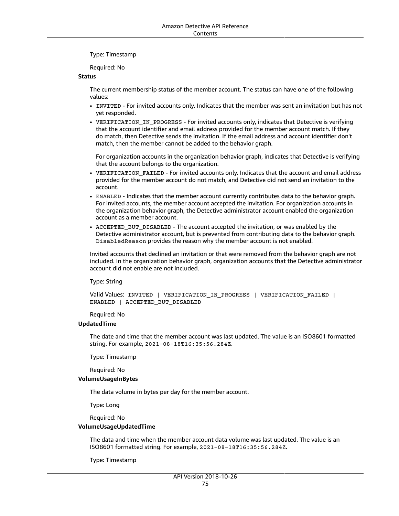Type: Timestamp

Required: No

#### **Status**

The current membership status of the member account. The status can have one of the following values:

- INVITED For invited accounts only. Indicates that the member was sent an invitation but has not yet responded.
- VERIFICATION IN PROGRESS For invited accounts only, indicates that Detective is verifying that the account identifier and email address provided for the member account match. If they do match, then Detective sends the invitation. If the email address and account identifier don't match, then the member cannot be added to the behavior graph.

For organization accounts in the organization behavior graph, indicates that Detective is verifying that the account belongs to the organization.

- VERIFICATION FAILED For invited accounts only. Indicates that the account and email address provided for the member account do not match, and Detective did not send an invitation to the account.
- ENABLED Indicates that the member account currently contributes data to the behavior graph. For invited accounts, the member account accepted the invitation. For organization accounts in the organization behavior graph, the Detective administrator account enabled the organization account as a member account.
- ACCEPTED BUT DISABLED The account accepted the invitation, or was enabled by the Detective administrator account, but is prevented from contributing data to the behavior graph. DisabledReason provides the reason why the member account is not enabled.

Invited accounts that declined an invitation or that were removed from the behavior graph are not included. In the organization behavior graph, organization accounts that the Detective administrator account did not enable are not included.

Type: String

Valid Values: INVITED | VERIFICATION\_IN\_PROGRESS | VERIFICATION\_FAILED | ENABLED | ACCEPTED\_BUT\_DISABLED

Required: No

#### **UpdatedTime**

The date and time that the member account was last updated. The value is an ISO8601 formatted string. For example, 2021-08-18T16:35:56.284Z.

Type: Timestamp

Required: No

#### **VolumeUsageInBytes**

The data volume in bytes per day for the member account.

Type: Long

Required: No

#### **VolumeUsageUpdatedTime**

The data and time when the member account data volume was last updated. The value is an ISO8601 formatted string. For example, 2021-08-18T16:35:56.284Z.

Type: Timestamp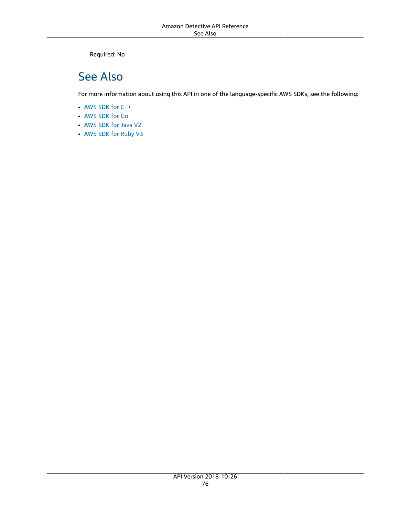Required: No

## See Also

- [AWS](https://docs.aws.amazon.com/goto/SdkForCpp/detective-2018-10-26/MemberDetail) SDK for C++
- [AWS](https://docs.aws.amazon.com/goto/SdkForGoV1/detective-2018-10-26/MemberDetail) SDK for Go
- [AWS](https://docs.aws.amazon.com/goto/SdkForJavaV2/detective-2018-10-26/MemberDetail) SDK for Java V2
- AWS SDK for [Ruby](https://docs.aws.amazon.com/goto/SdkForRubyV3/detective-2018-10-26/MemberDetail) V3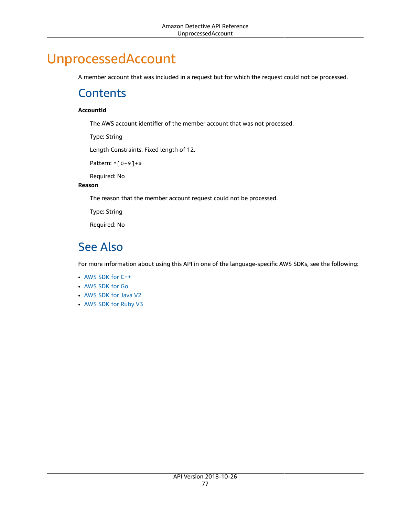# <span id="page-82-0"></span>UnprocessedAccount

A member account that was included in a request but for which the request could not be processed.

### **Contents**

#### **AccountId**

The AWS account identifier of the member account that was not processed.

Type: String

Length Constraints: Fixed length of 12.

Pattern: ^[0-9]+\$

Required: No

#### **Reason**

The reason that the member account request could not be processed.

Type: String

Required: No

### See Also

- [AWS](https://docs.aws.amazon.com/goto/SdkForCpp/detective-2018-10-26/UnprocessedAccount) SDK for C++
- [AWS](https://docs.aws.amazon.com/goto/SdkForGoV1/detective-2018-10-26/UnprocessedAccount) SDK for Go
- [AWS](https://docs.aws.amazon.com/goto/SdkForJavaV2/detective-2018-10-26/UnprocessedAccount) SDK for Java V2
- AWS SDK for [Ruby](https://docs.aws.amazon.com/goto/SdkForRubyV3/detective-2018-10-26/UnprocessedAccount) V3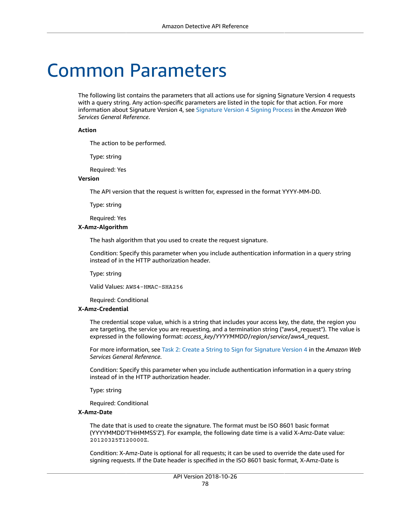# Common Parameters

The following list contains the parameters that all actions use for signing Signature Version 4 requests with a query string. Any action-specific parameters are listed in the topic for that action. For more information about Signature Version 4, see [Signature](http://docs.aws.amazon.com/general/latest/gr/signature-version-4.html) Version 4 Signing Process in the *Amazon Web Services General Reference*.

#### **Action**

The action to be performed.

Type: string

Required: Yes

#### **Version**

The API version that the request is written for, expressed in the format YYYY-MM-DD.

Type: string

Required: Yes

#### **X-Amz-Algorithm**

The hash algorithm that you used to create the request signature.

Condition: Specify this parameter when you include authentication information in a query string instead of in the HTTP authorization header.

Type: string

Valid Values: AWS4-HMAC-SHA256

Required: Conditional

#### **X-Amz-Credential**

The credential scope value, which is a string that includes your access key, the date, the region you are targeting, the service you are requesting, and a termination string ("aws4\_request"). The value is expressed in the following format: *access\_key*/*YYYYMMDD*/*region*/*service*/aws4\_request.

For more information, see Task 2: Create a String to Sign for [Signature](http://docs.aws.amazon.com/general/latest/gr/sigv4-create-string-to-sign.html) Version 4 in the *Amazon Web Services General Reference*.

Condition: Specify this parameter when you include authentication information in a query string instead of in the HTTP authorization header.

Type: string

Required: Conditional

#### **X-Amz-Date**

The date that is used to create the signature. The format must be ISO 8601 basic format (YYYYMMDD'T'HHMMSS'Z'). For example, the following date time is a valid X-Amz-Date value: 20120325T120000Z.

Condition: X-Amz-Date is optional for all requests; it can be used to override the date used for signing requests. If the Date header is specified in the ISO 8601 basic format, X-Amz-Date is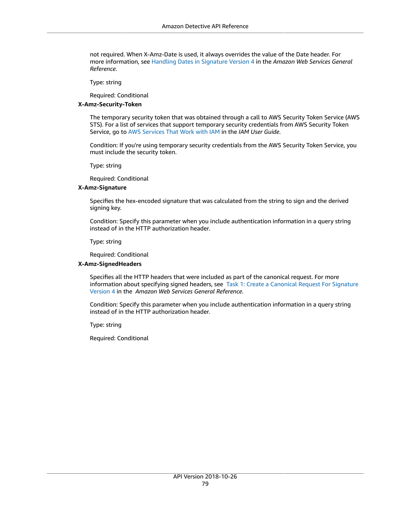not required. When X-Amz-Date is used, it always overrides the value of the Date header. For more information, see Handling Dates in [Signature](http://docs.aws.amazon.com/general/latest/gr/sigv4-date-handling.html) Version 4 in the *Amazon Web Services General Reference*.

Type: string

Required: Conditional

#### **X-Amz-Security-Token**

The temporary security token that was obtained through a call to AWS Security Token Service (AWS STS). For a list of services that support temporary security credentials from AWS Security Token Service, go to AWS [Services](http://docs.aws.amazon.com/IAM/latest/UserGuide/reference_aws-services-that-work-with-iam.html) That Work with IAM in the *IAM User Guide*.

Condition: If you're using temporary security credentials from the AWS Security Token Service, you must include the security token.

Type: string

Required: Conditional

#### **X-Amz-Signature**

Specifies the hex-encoded signature that was calculated from the string to sign and the derived signing key.

Condition: Specify this parameter when you include authentication information in a query string instead of in the HTTP authorization header.

Type: string

Required: Conditional

#### **X-Amz-SignedHeaders**

Specifies all the HTTP headers that were included as part of the canonical request. For more information about specifying signed headers, see Task 1: Create a [Canonical](http://docs.aws.amazon.com/general/latest/gr/sigv4-create-canonical-request.html) Request For Signature [Version](http://docs.aws.amazon.com/general/latest/gr/sigv4-create-canonical-request.html) 4 in the *Amazon Web Services General Reference*.

Condition: Specify this parameter when you include authentication information in a query string instead of in the HTTP authorization header.

Type: string

Required: Conditional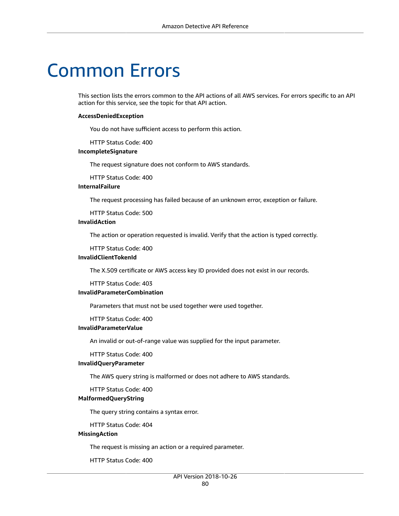# Common Errors

This section lists the errors common to the API actions of all AWS services. For errors specific to an API action for this service, see the topic for that API action.

#### **AccessDeniedException**

You do not have sufficient access to perform this action.

HTTP Status Code: 400

#### **IncompleteSignature**

The request signature does not conform to AWS standards.

HTTP Status Code: 400

### **InternalFailure**

The request processing has failed because of an unknown error, exception or failure.

HTTP Status Code: 500

#### **InvalidAction**

The action or operation requested is invalid. Verify that the action is typed correctly.

HTTP Status Code: 400

#### **InvalidClientTokenId**

The X.509 certificate or AWS access key ID provided does not exist in our records.

HTTP Status Code: 403

#### **InvalidParameterCombination**

Parameters that must not be used together were used together.

HTTP Status Code: 400

#### **InvalidParameterValue**

An invalid or out-of-range value was supplied for the input parameter.

#### HTTP Status Code: 400

#### **InvalidQueryParameter**

The AWS query string is malformed or does not adhere to AWS standards.

HTTP Status Code: 400

#### **MalformedQueryString**

The query string contains a syntax error.

HTTP Status Code: 404

#### **MissingAction**

The request is missing an action or a required parameter.

HTTP Status Code: 400